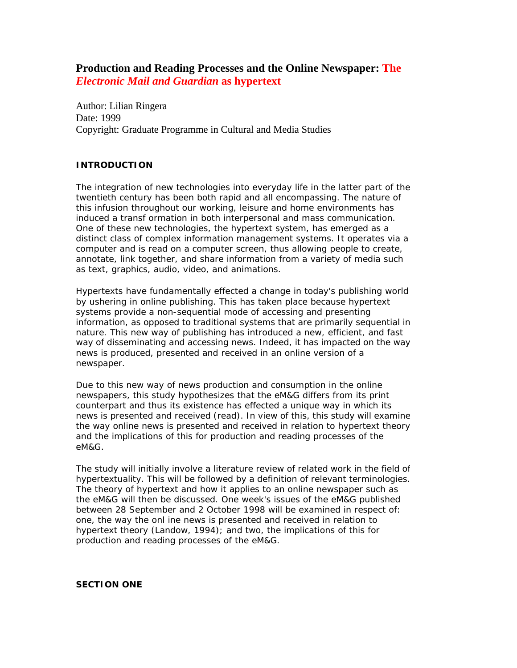# **Production and Reading Processes and the Online Newspaper: The**  *Electronic Mail and Guardian* **as hypertext**

Author: Lilian Ringera Date: 1999 Copyright: Graduate Programme in Cultural and Media Studies

# **INTRODUCTION**

The integration of new technologies into everyday life in the latter part of the twentieth century has been both rapid and all encompassing. The nature of this infusion throughout our working, leisure and home environments has induced a transf ormation in both interpersonal and mass communication. One of these new technologies, the hypertext system, has emerged as a distinct class of complex information management systems. It operates via a computer and is read on a computer screen, thus allowing people to create, annotate, link together, and share information from a variety of media such as text, graphics, audio, video, and animations.

Hypertexts have fundamentally effected a change in today's publishing world by ushering in online publishing. This has taken place because hypertext systems provide a non-sequential mode of accessing and presenting information, as opposed to traditional systems that are primarily sequential in nature. This new way of publishing has introduced a new, efficient, and fast way of disseminating and accessing news. Indeed, it has impacted on the way news is produced, presented and received in an online version of a newspaper.

Due to this new way of news production and consumption in the online newspapers, this study hypothesizes that the *eM&G* differs from its print counterpart and thus its existence has effected a unique way in which its news is presented and received (read). In view of this, this study will examine the way online news is presented and received in relation to hypertext theory and the implications of this for production and reading processes of the *eM&G*.

The study will initially involve a literature review of related work in the field of hypertextuality. This will be followed by a definition of relevant terminologies. The theory of hypertext and how it applies to an online newspaper such as the *eM&G* will then be discussed. One week's issues of the *eM&G* published between 28 September and 2 October 1998 will be examined in respect of: one, the way the onl ine news is presented and received in relation to hypertext theory (Landow, 1994); and two, the implications of this for production and reading processes of the *eM&G*.

### *SECTION ONE*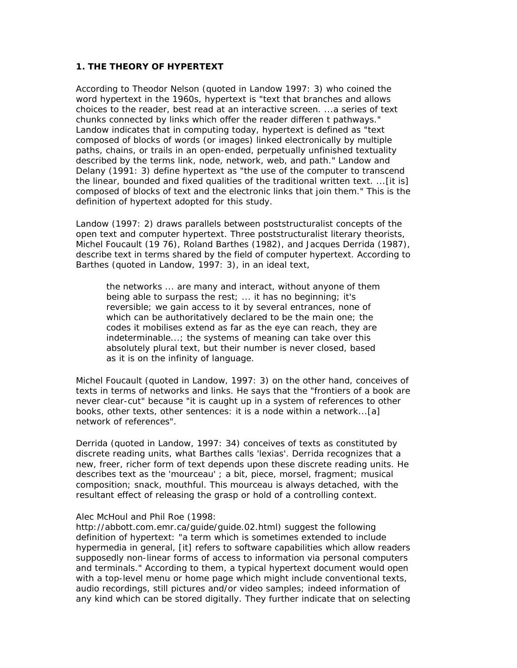# **1. THE THEORY OF HYPERTEXT**

According to Theodor Nelson (quoted in Landow 1997: 3) who coined the word hypertext in the 1960s, hypertext is "text that branches and allows choices to the reader, best read at an interactive screen. ...a series of text chunks connected by links which offer the reader differen t pathways." Landow indicates that in computing today, hypertext is defined as "text composed of blocks of words (or images) linked electronically by multiple paths, chains, or trails in an open-ended, perpetually unfinished textuality described by the terms link, node, network, web, and path." Landow and Delany (1991: 3) define hypertext as "the use of the computer to transcend the linear, bounded and fixed qualities of the traditional written text. ...[it is] composed of blocks of text and the electronic links that join them." This is the definition of hypertext adopted for this study.

Landow (1997: 2) draws parallels between poststructuralist concepts of the open text and computer hypertext. Three poststructuralist literary theorists, Michel Foucault (19 76), Roland Barthes (1982), and Jacques Derrida (1987), describe text in terms shared by the field of computer hypertext. According to Barthes (quoted in Landow, 1997: 3), in an ideal text,

the networks ... are many and interact, without anyone of them being able to surpass the rest; ... it has no beginning; it's reversible; we gain access to it by several entrances, none of which can be authoritatively declared to be the main one; the codes it mobilises extend as far as the eye can reach, they are indeterminable...; the systems of meaning can take over this absolutely plural text, but their number is never closed, based as it is on the infinity of language.

Michel Foucault (quoted in Landow, 1997: 3) on the other hand, conceives of texts in terms of networks and links. He says that the "frontiers of a book are never clear-cut" because "it is caught up in a system of references to other books, other texts, other sentences: it is a node within a network...[a] network of references".

Derrida (quoted in Landow, 1997: 34) conceives of texts as constituted by discrete reading units, what Barthes calls 'lexias'. Derrida recognizes that a new, freer, richer form of text depends upon these discrete reading units. He describes text as the 'mourceau' ; a bit, piece, morsel, fragment; musical composition; snack, mouthful. This mourceau is always detached, with the resultant effect of releasing the grasp or hold of a controlling context.

#### Alec McHoul and Phil Roe (1998:

http://abbott.com.emr.ca/guide/guide.02.html) suggest the following definition of hypertext: "a term which is sometimes extended to include hypermedia in general, [it] refers to software capabilities which allow readers supposedly non-linear forms of access to information via personal computers and terminals." According to them, a typical hypertext document would open with a top-level menu or home page which might include conventional texts, audio recordings, still pictures and/or video samples; indeed information of any kind which can be stored digitally. They further indicate that on selecting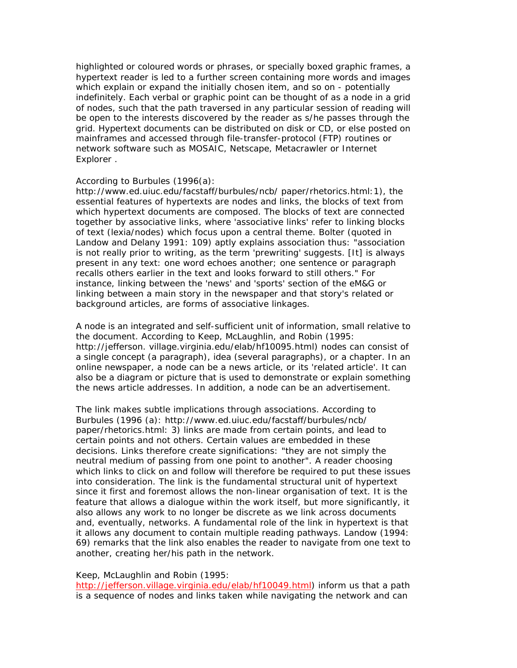highlighted or coloured words or phrases, or specially boxed graphic frames, a hypertext reader is led to a further screen containing more words and images which explain or expand the initially chosen item, and so on - potentially indefinitely. Each verbal or graphic point can be thought of as a node in a grid of nodes, such that the path traversed in any particular session of reading will be open to the interests discovered by the reader as s/he passes through the grid. Hypertext documents can be distributed on disk or CD, or else posted on mainframes and accessed through file-transfer-protocol (FTP) routines or network software such as MOSAIC, Netscape, Metacrawler or Internet Explorer .

#### According to Burbules (1996(a):

http://www.ed.uiuc.edu/facstaff/burbules/ncb/ paper/rhetorics.html:1), the essential features of hypertexts are nodes and links, the blocks of text from which hypertext documents are composed. The blocks of text are connected together by associative links, where 'associative links' refer to linking blocks of text (lexia/nodes) which focus upon a central theme. Bolter (quoted in Landow and Delany 1991: 109) aptly explains association thus: "association is not really prior to writing, as the term 'prewriting' suggests. [It] is always present in any text: one word echoes another; one sentence or paragraph recalls others earlier in the text and looks forward to still others." For instance, linking between the 'news' and 'sports' section of the *eM&G* or linking between a main story in the newspaper and that story's related or background articles, are forms of associative linkages.

A node is an integrated and self-sufficient unit of information, small relative to the document. According to Keep, McLaughlin, and Robin (1995: http://jefferson. village.virginia.edu/elab/hf10095.html) nodes can consist of a single concept (a paragraph), idea (several paragraphs), or a chapter. In an online newspaper, a node can be a news article, or its 'related article'. It can also be a diagram or picture that is used to demonstrate or explain something the news article addresses. In addition, a node can be an advertisement.

The link makes subtle implications through associations. According to Burbules (1996 (a): http://www.ed.uiuc.edu/facstaff/burbules/ncb/ paper/rhetorics.html: 3) links are made from certain points, and lead to certain points and not others. Certain values are embedded in these decisions. Links therefore create significations: "they are not simply the neutral medium of passing from one point to another". A reader choosing which links to click on and follow will therefore be required to put these issues into consideration. The link is the fundamental structural unit of hypertext since it first and foremost allows the non-linear organisation of text. It is the feature that allows a dialogue within the work itself, but more significantly, it also allows any work to no longer be discrete as we link across documents and, eventually, networks. A fundamental role of the link in hypertext is that it allows any document to contain multiple reading pathways. Landow (1994: 69) remarks that the link also enables the reader to navigate from one text to another, creating her/his path in the network.

#### Keep, McLaughlin and Robin (1995:

http://jefferson.village.virginia.edu/elab/hf10049.html) inform us that a path is a sequence of nodes and links taken while navigating the network and can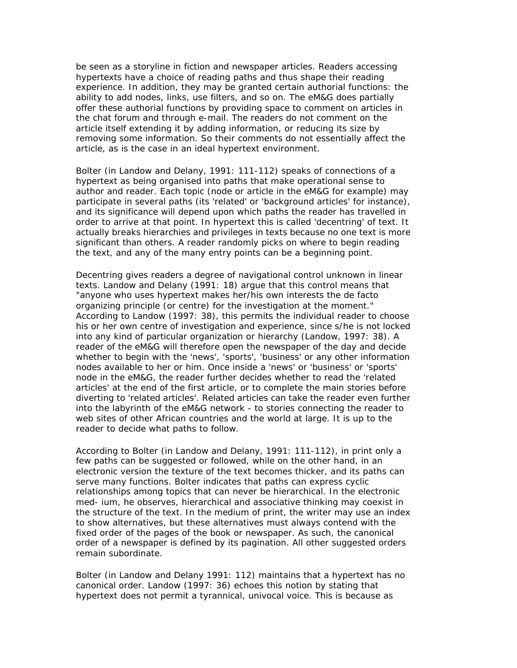be seen as a storyline in fiction and newspaper articles. Readers accessing hypertexts have a choice of reading paths and thus shape their reading experience. In addition, they may be granted certain authorial functions: the ability to add nodes, links, use filters, and so on. The *eM&G* does partially offer these authorial functions by providing space to comment on articles in the chat forum and through e-mail. The readers do not comment on the article itself extending it by adding information, or reducing its size by removing some information. So their comments do not essentially affect the article, as is the case in an ideal hypertext environment.

Bolter (in Landow and Delany, 1991: 111-112) speaks of connections of a hypertext as being organised into paths that make operational sense to author and reader. Each topic (node or article in the *eM&G* for example) may participate in several paths (its 'related' or 'background articles' for instance), and its significance will depend upon which paths the reader has travelled in order to arrive at that point. In hypertext this is called 'decentring' of text. It actually breaks hierarchies and privileges in texts because no one text is more significant than others. A reader randomly picks on where to begin reading the text, and any of the many entry points can be a beginning point.

Decentring gives readers a degree of navigational control unknown in linear texts. Landow and Delany (1991: 18) argue that this control means that "anyone who uses hypertext makes her/his own interests the de facto organizing principle (or centre) for the investigation at the moment." According to Landow (1997: 38), this permits the individual reader to choose his or her own centre of investigation and experience, since s/he is not locked into any kind of particular organization or hierarchy (Landow, 1997: 38). A reader of the *eM&G* will therefore open the newspaper of the day and decide whether to begin with the 'news', 'sports', 'business' or any other information nodes available to her or him. Once inside a 'news' or 'business' or 'sports' node in the *eM&G*, the reader further decides whether to read the 'related articles' at the end of the first article, or to complete the main stories before diverting to 'related articles'. Related articles can take the reader even further into the labyrinth of the *eM&G* network - to stories connecting the reader to web sites of other African countries and the world at large. It is up to the reader to decide what paths to follow.

According to Bolter (in Landow and Delany, 1991: 111-112), in print only a few paths can be suggested or followed, while on the other hand, in an electronic version the texture of the text becomes thicker, and its paths can serve many functions. Bolter indicates that paths can express cyclic relationships among topics that can never be hierarchical. In the electronic med- ium, he observes, hierarchical and associative thinking may coexist in the structure of the text. In the medium of print, the writer may use an index to show alternatives, but these alternatives must always contend with the fixed order of the pages of the book or newspaper. As such, the canonical order of a newspaper is defined by its pagination. All other suggested orders remain subordinate.

Bolter (in Landow and Delany 1991: 112) maintains that a hypertext has no canonical order. Landow (1997: 36) echoes this notion by stating that hypertext does not permit a tyrannical, univocal voice. This is because as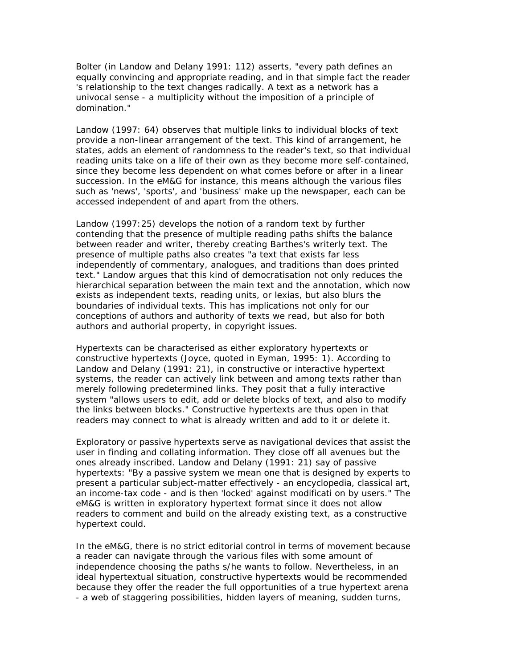Bolter (in Landow and Delany 1991: 112) asserts, "every path defines an equally convincing and appropriate reading, and in that simple fact the reader 's relationship to the text changes radically. A text as a network has a univocal sense - a multiplicity without the imposition of a principle of domination."

Landow (1997: 64) observes that multiple links to individual blocks of text provide a non-linear arrangement of the text. This kind of arrangement, he states, adds an element of randomness to the reader's text, so that individual reading units take on a life of their own as they become more self-contained, since they become less dependent on what comes before or after in a linear succession. In the *eM&G* for instance, this means although the various files such as 'news', 'sports', and 'business' make up the newspaper, each can be accessed independent of and apart from the others.

Landow (1997:25) develops the notion of a random text by further contending that the presence of multiple reading paths shifts the balance between reader and writer, thereby creating Barthes's writerly text. The presence of multiple paths also creates "a text that exists far less independently of commentary, analogues, and traditions than does printed text." Landow argues that this kind of democratisation not only reduces the hierarchical separation between the main text and the annotation, which now exists as independent texts, reading units, or lexias, but also blurs the boundaries of individual texts. This has implications not only for our conceptions of authors and authority of texts we read, but also for both authors and authorial property, in copyright issues.

Hypertexts can be characterised as either exploratory hypertexts or constructive hypertexts (Joyce, quoted in Eyman, 1995: 1). According to Landow and Delany (1991: 21), in constructive or interactive hypertext systems, the reader can actively link between and among texts rather than merely following predetermined links. They posit that a fully interactive system "allows users to edit, add or delete blocks of text, and also to modify the links between blocks." Constructive hypertexts are thus open in that readers may connect to what is already written and add to it or delete it.

Exploratory or passive hypertexts serve as navigational devices that assist the user in finding and collating information. They close off all avenues but the ones already inscribed. Landow and Delany (1991: 21) say of passive hypertexts: "By a passive system we mean one that is designed by experts to present a particular subject-matter effectively - an encyclopedia, classical art, an income-tax code - and is then 'locked' against modificati on by users." The *eM&G* is written in exploratory hypertext format since it does not allow readers to comment and build on the already existing text, as a constructive hypertext could.

In the *eM&G*, there is no strict editorial control in terms of movement because a reader can navigate through the various files with some amount of independence choosing the paths s/he wants to follow. Nevertheless, in an ideal hypertextual situation, constructive hypertexts would be recommended because they offer the reader the full opportunities of a true hypertext arena - a web of staggering possibilities, hidden layers of meaning, sudden turns,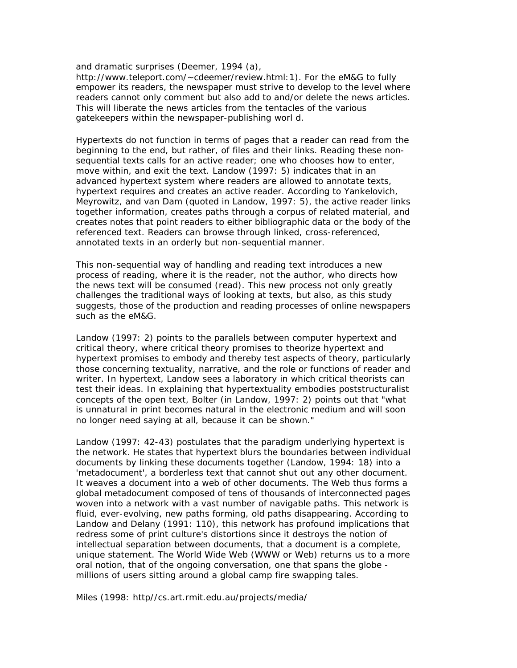and dramatic surprises (Deemer, 1994 (a),

http://www.teleport.com/~cdeemer/review.html:1). For the *eM&G* to fully empower its readers, the newspaper must strive to develop to the level where readers cannot only comment but also add to and/or delete the news articles. This will liberate the news articles from the tentacles of the various gatekeepers within the newspaper-publishing worl d.

Hypertexts do not function in terms of pages that a reader can read from the beginning to the end, but rather, of files and their links. Reading these nonsequential texts calls for an active reader; one who chooses how to enter, move within, and exit the text. Landow (1997: 5) indicates that in an advanced hypertext system where readers are allowed to annotate texts, hypertext requires and creates an active reader. According to Yankelovich, Meyrowitz, and van Dam (quoted in Landow, 1997: 5), the active reader links together information, creates paths through a corpus of related material, and creates notes that point readers to either bibliographic data or the body of the referenced text. Readers can browse through linked, cross-referenced, annotated texts in an orderly but non-sequential manner.

This non-sequential way of handling and reading text introduces a new process of reading, where it is the reader, not the author, who directs how the news text will be consumed (read). This new process not only greatly challenges the traditional ways of looking at texts, but also, as this study suggests, those of the production and reading processes of online newspapers such as the *eM&G*.

Landow (1997: 2) points to the parallels between computer hypertext and critical theory, where critical theory promises to theorize hypertext and hypertext promises to embody and thereby test aspects of theory, particularly those concerning textuality, narrative, and the role or functions of reader and writer. In hypertext, Landow sees a laboratory in which critical theorists can test their ideas. In explaining that hypertextuality embodies poststructuralist concepts of the open text, Bolter (in Landow, 1997: 2) points out that "what is unnatural in print becomes natural in the electronic medium and will soon no longer need saying at all, because it can be shown."

Landow (1997: 42-43) postulates that the paradigm underlying hypertext is the network. He states that hypertext blurs the boundaries between individual documents by linking these documents together (Landow, 1994: 18) into a 'metadocument', a borderless text that cannot shut out any other document. It weaves a document into a web of other documents. The Web thus forms a global metadocument composed of tens of thousands of interconnected pages woven into a network with a vast number of navigable paths. This network is fluid, ever-evolving, new paths forming, old paths disappearing. According to Landow and Delany (1991: 110), this network has profound implications that redress some of print culture's distortions since it destroys the notion of intellectual separation between documents, that a document is a complete, unique statement. The World Wide Web (WWW or Web) returns us to a more oral notion, that of the ongoing conversation, one that spans the globe millions of users sitting around a global camp fire swapping tales.

Miles (1998: http//cs.art.rmit.edu.au/projects/media/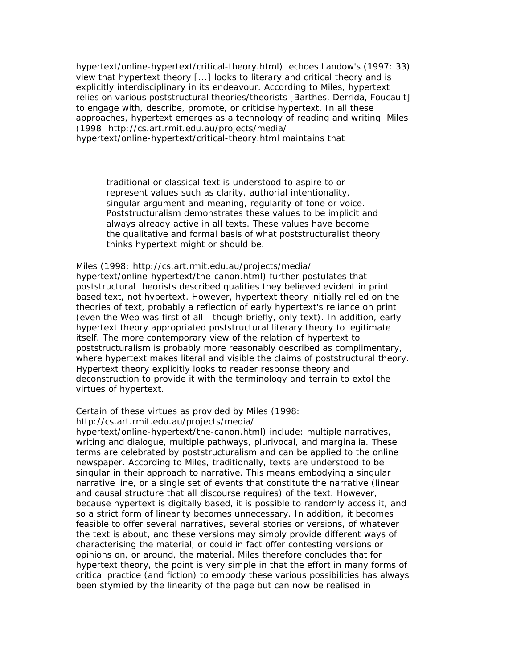hypertext/online-hypertext/critical-theory.html) echoes Landow's (1997: 33) view that hypertext theory [...] looks to literary and critical theory and is explicitly interdisciplinary in its endeavour. According to Miles, hypertext relies on various poststructural theories/theorists [Barthes, Derrida, Foucault] to engage with, describe, promote, or criticise hypertext. In all these approaches, hypertext emerges as a technology of reading and writing. Miles (1998: http://cs.art.rmit.edu.au/projects/media/ hypertext/online-hypertext/critical-theory.html maintains that

traditional or classical text is understood to aspire to or represent values such as clarity, authorial intentionality, singular argument and meaning, regularity of tone or voice. Poststructuralism demonstrates these values to be implicit and always already active in all texts. These values have become the qualitative and formal basis of what poststructuralist theory thinks hypertext might or should be.

Miles (1998: http://cs.art.rmit.edu.au/projects/media/ hypertext/online-hypertext/the-canon.html) further postulates that poststructural theorists described qualities they believed evident in print based text, not hypertext. However, hypertext theory initially relied on the theories of text, probably a reflection of early hypertext's reliance on print (even the Web was first of all - though briefly, only text). In addition, early hypertext theory appropriated poststructural literary theory to legitimate itself. The more contemporary view of the relation of hypertext to poststructuralism is probably more reasonably described as complimentary, where hypertext makes literal and visible the claims of poststructural theory. Hypertext theory explicitly looks to reader response theory and deconstruction to provide it with the terminology and terrain to extol the virtues of hypertext.

Certain of these virtues as provided by Miles (1998:

http://cs.art.rmit.edu.au/projects/media/

hypertext/online-hypertext/the-canon.html) include: multiple narratives, writing and dialogue, multiple pathways, plurivocal, and marginalia. These terms are celebrated by poststructuralism and can be applied to the online newspaper. According to Miles, traditionally, texts are understood to be singular in their approach to narrative. This means embodying a singular narrative line, or a single set of events that constitute the narrative (linear and causal structure that all discourse requires) of the text. However, because hypertext is digitally based, it is possible to randomly access it, and so a strict form of linearity becomes unnecessary. In addition, it becomes feasible to offer several narratives, several stories or versions, of whatever the text is about, and these versions may simply provide different ways of characterising the material, or could in fact offer contesting versions or opinions on, or around, the material. Miles therefore concludes that for hypertext theory, the point is very simple in that the effort in many forms of critical practice (and fiction) to embody these various possibilities has always been stymied by the linearity of the page but can now be realised in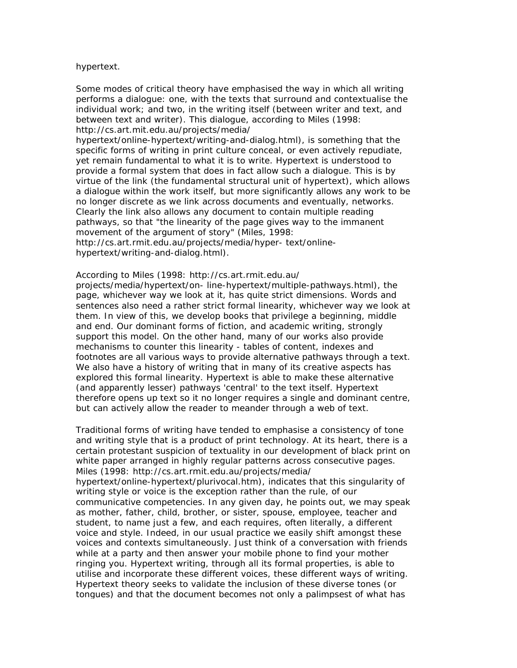#### hypertext.

Some modes of critical theory have emphasised the way in which all writing performs a dialogue: one, with the texts that surround and contextualise the individual work; and two, in the writing itself (between writer and text, and between text and writer). This dialogue, according to Miles (1998: http://cs.art.mit.edu.au/projects/media/

hypertext/online-hypertext/writing-and-dialog.html), is something that the specific forms of writing in print culture conceal, or even actively repudiate, yet remain fundamental to what it is to write. Hypertext is understood to provide a formal system that does in fact allow such a dialogue. This is by virtue of the link (the fundamental structural unit of hypertext), which allows a dialogue within the work itself, but more significantly allows any work to be no longer discrete as we link across documents and eventually, networks. Clearly the link also allows any document to contain multiple reading pathways, so that "the linearity of the page gives way to the immanent movement of the argument of story" (Miles, 1998:

http://cs.art.rmit.edu.au/projects/media/hyper- text/onlinehypertext/writing-and-dialog.html).

#### According to Miles (1998: http://cs.art.rmit.edu.au/

projects/media/hypertext/on- line-hypertext/multiple-pathways.html), the page, whichever way we look at it, has quite strict dimensions. Words and sentences also need a rather strict formal linearity, whichever way we look at them. In view of this, we develop books that privilege a beginning, middle and end. Our dominant forms of fiction, and academic writing, strongly support this model. On the other hand, many of our works also provide mechanisms to counter this linearity - tables of content, indexes and footnotes are all various ways to provide alternative pathways through a text. We also have a history of writing that in many of its creative aspects has explored this formal linearity. Hypertext is able to make these alternative (and apparently lesser) pathways 'central' to the text itself. Hypertext therefore opens up text so it no longer requires a single and dominant centre, but can actively allow the reader to meander through a web of text.

Traditional forms of writing have tended to emphasise a consistency of tone and writing style that is a product of print technology. At its heart, there is a certain protestant suspicion of textuality in our development of black print on white paper arranged in highly regular patterns across consecutive pages. Miles (1998: http://cs.art.rmit.edu.au/projects/media/ hypertext/online-hypertext/plurivocal.htm), indicates that this singularity of writing style or voice is the exception rather than the rule, of our communicative competencies. In any given day, he points out, we may speak as mother, father, child, brother, or sister, spouse, employee, teacher and student, to name just a few, and each requires, often literally, a different voice and style. Indeed, in our usual practice we easily shift amongst these voices and contexts simultaneously. Just think of a conversation with friends while at a party and then answer your mobile phone to find your mother ringing you. Hypertext writing, through all its formal properties, is able to utilise and incorporate these different voices, these different ways of writing. Hypertext theory seeks to validate the inclusion of these diverse tones (or tongues) and that the document becomes not only a palimpsest of what has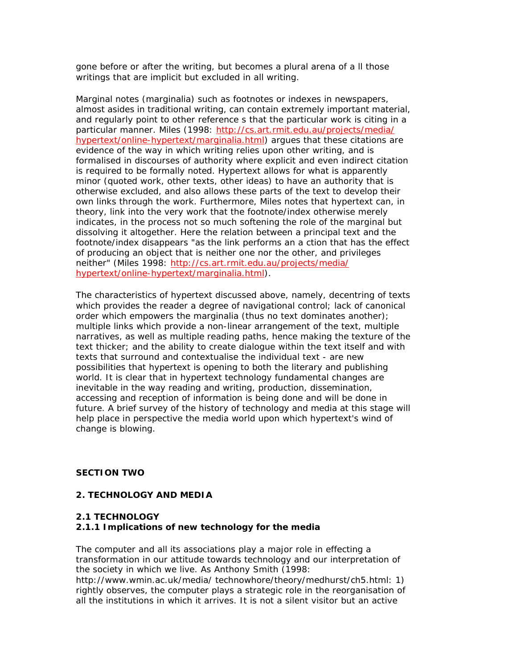gone before or after the writing, but becomes a plural arena of a ll those writings that are implicit but excluded in all writing.

Marginal notes (marginalia) such as footnotes or indexes in newspapers, almost asides in traditional writing, can contain extremely important material, and regularly point to other reference s that the particular work is citing in a particular manner. Miles (1998: http://cs.art.rmit.edu.au/projects/media/ hypertext/online-hypertext/marginalia.html) argues that these citations are evidence of the way in which writing relies upon other writing, and is formalised in discourses of authority where explicit and even indirect citation is required to be formally noted. Hypertext allows for what is apparently minor (quoted work, other texts, other ideas) to have an authority that is otherwise excluded, and also allows these parts of the text to develop their own links through the work. Furthermore, Miles notes that hypertext can, in theory, link into the very work that the footnote/index otherwise merely indicates, in the process not so much softening the role of the marginal but dissolving it altogether. Here the relation between a principal text and the footnote/index disappears "as the link performs an a ction that has the effect of producing an object that is neither one nor the other, and privileges neither" (Miles 1998: http://cs.art.rmit.edu.au/projects/media/ hypertext/online-hypertext/marginalia.html).

The characteristics of hypertext discussed above, namely, decentring of texts which provides the reader a degree of navigational control; lack of canonical order which empowers the marginalia (thus no text dominates another); multiple links which provide a non-linear arrangement of the text, multiple narratives, as well as multiple reading paths, hence making the texture of the text thicker; and the ability to create dialogue within the text itself and with texts that surround and contextualise the individual text - are new possibilities that hypertext is opening to both the literary and publishing world. It is clear that in hypertext technology fundamental changes are inevitable in the way reading and writing, production, dissemination, accessing and reception of information is being done and will be done in future. A brief survey of the history of technology and media at this stage will help place in perspective the media world upon which hypertext's wind of change is blowing.

# *SECTION TWO*

### **2. TECHNOLOGY AND MEDIA**

### **2.1 TECHNOLOGY**

### **2.1.1 Implications of new technology for the media**

The computer and all its associations play a major role in effecting a transformation in our attitude towards technology and our interpretation of the society in which we live. As Anthony Smith (1998:

http://www.wmin.ac.uk/media/ technowhore/theory/medhurst/ch5.html: 1) rightly observes, the computer plays a strategic role in the reorganisation of all the institutions in which it arrives. It is not a silent visitor but an active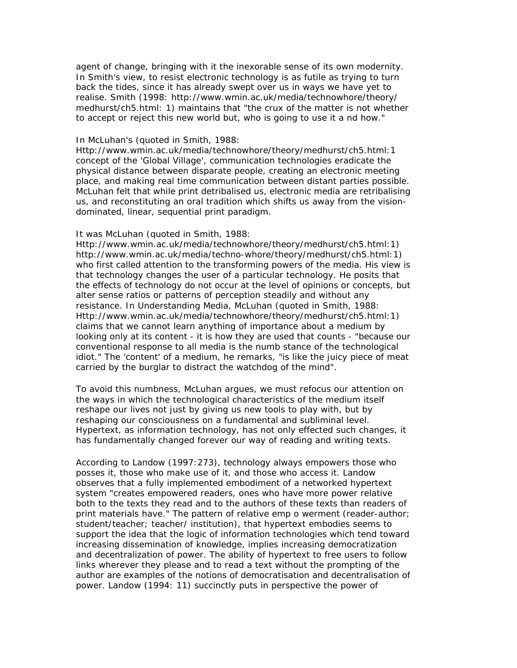agent of change, bringing with it the inexorable sense of its own modernity. In Smith's view, to resist electronic technology is as futile as trying to turn back the tides, since it has already swept over us in ways we have yet to realise. Smith (1998: http://www.wmin.ac.uk/media/technowhore/theory/ medhurst/ch5.html: 1) maintains that "the crux of the matter is not whether to accept or reject this new world but, who is going to use it a nd how."

#### In McLuhan's (quoted in Smith, 1988:

Http://www.wmin.ac.uk/media/technowhore/theory/medhurst/ch5.html:1 concept of the 'Global Village', communication technologies eradicate the physical distance between disparate people, creating an electronic meeting place, and making real time communication between distant parties possible. McLuhan felt that while print detribalised us, electronic media are retribalising us, and reconstituting an oral tradition which shifts us away from the visiondominated, linear, sequential print paradigm.

#### It was McLuhan (quoted in Smith, 1988:

Http://www.wmin.ac.uk/media/technowhore/theory/medhurst/ch5.html:1) http://www.wmin.ac.uk/media/techno-whore/theory/medhurst/ch5.html:1) who first called attention to the transforming powers of the media. His view is that technology changes the user of a particular technology. He posits that the effects of technology do not occur at the level of opinions or concepts, but alter sense ratios or patterns of perception steadily and without any resistance. In *Understanding Media*, McLuhan (quoted in Smith, 1988: Http://www.wmin.ac.uk/media/technowhore/theory/medhurst/ch5.html:1) claims that we cannot learn anything of importance about a medium by looking only at its content - it is how they are used that counts - "because our conventional response to all media is the numb stance of the technological idiot." The 'content' of a medium, he remarks, "is like the juicy piece of meat carried by the burglar to distract the watchdog of the mind".

To avoid this numbness, McLuhan argues, we must refocus our attention on the ways in which the technological characteristics of the medium itself reshape our lives not just by giving us new tools to play with, but by reshaping our consciousness on a fundamental and subliminal level. Hypertext, as information technology, has not only effected such changes, it has fundamentally changed forever our way of reading and writing texts.

According to Landow (1997:273), technology always empowers those who posses it, those who make use of it, and those who access it. Landow observes that a fully implemented embodiment of a networked hypertext system "creates empowered readers, ones who have more power relative both to the texts they read and to the authors of these texts than readers of print materials have." The pattern of relative emp o werment (reader-author; student/teacher; teacher/ institution), that hypertext embodies seems to support the idea that the logic of information technologies which tend toward increasing dissemination of knowledge, implies increasing democratization and decentralization of power. The ability of hypertext to free users to follow links wherever they please and to read a text without the prompting of the author are examples of the notions of democratisation and decentralisation of power. Landow (1994: 11) succinctly puts in perspective the power of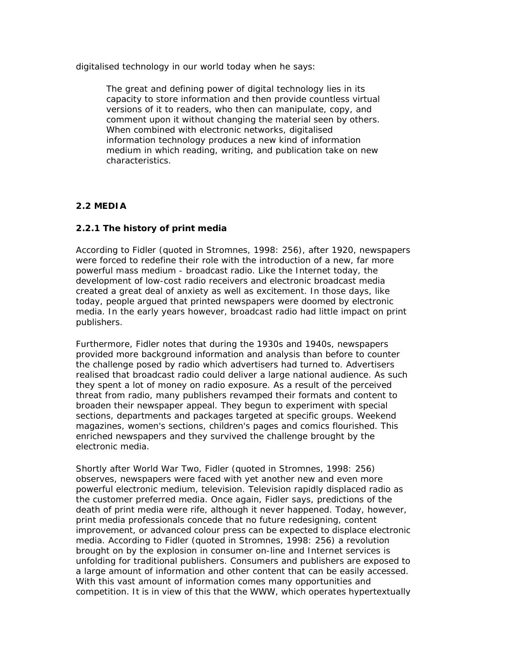digitalised technology in our world today when he says:

The great and defining power of digital technology lies in its capacity to store information and then provide countless virtual versions of it to readers, who then can manipulate, copy, and comment upon it without changing the material seen by others. When combined with electronic networks, digitalised information technology produces a new kind of information medium in which reading, writing, and publication take on new characteristics.

# **2.2 MEDIA**

# **2.2.1 The history of print media**

According to Fidler (quoted in Stromnes, 1998: 256), after 1920, newspapers were forced to redefine their role with the introduction of a new, far more powerful mass medium - broadcast radio. Like the Internet today, the development of low-cost radio receivers and electronic broadcast media created a great deal of anxiety as well as excitement. In those days, like today, people argued that printed newspapers were doomed by electronic media. In the early years however, broadcast radio had little impact on print publishers.

Furthermore, Fidler notes that during the 1930s and 1940s, newspapers provided more background information and analysis than before to counter the challenge posed by radio which advertisers had turned to. Advertisers realised that broadcast radio could deliver a large national audience. As such they spent a lot of money on radio exposure. As a result of the perceived threat from radio, many publishers revamped their formats and content to broaden their newspaper appeal. They begun to experiment with special sections, departments and packages targeted at specific groups. Weekend magazines, women's sections, children's pages and comics flourished. This enriched newspapers and they survived the challenge brought by the electronic media.

Shortly after World War Two, Fidler (quoted in Stromnes, 1998: 256) observes, newspapers were faced with yet another new and even more powerful electronic medium, television. Television rapidly displaced radio as the customer preferred media. Once again, Fidler says, predictions of the death of print media were rife, although it never happened. Today, however, print media professionals concede that no future redesigning, content improvement, or advanced colour press can be expected to displace electronic media. According to Fidler (quoted in Stromnes, 1998: 256) a revolution brought on by the explosion in consumer on-line and Internet services is unfolding for traditional publishers. Consumers and publishers are exposed to a large amount of information and other content that can be easily accessed. With this vast amount of information comes many opportunities and competition. It is in view of this that the WWW, which operates hypertextually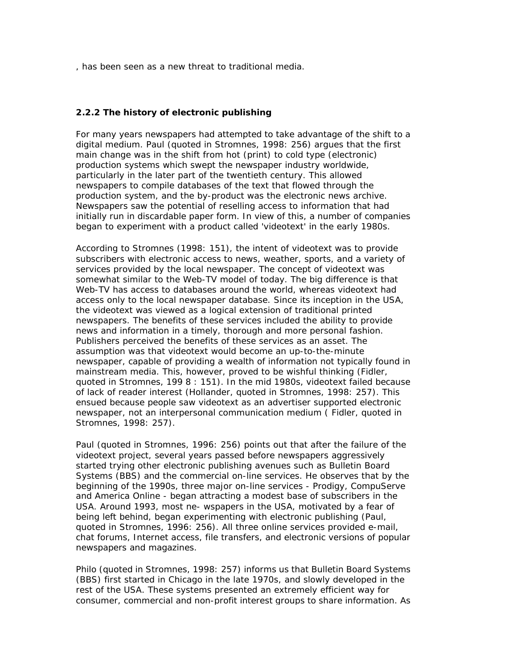, has been seen as a new threat to traditional media.

### **2.2.2 The history of electronic publishing**

For many years newspapers had attempted to take advantage of the shift to a digital medium. Paul (quoted in Stromnes, 1998: 256) argues that the first main change was in the shift from hot (print) to cold type (electronic) production systems which swept the newspaper industry worldwide, particularly in the later part of the twentieth century. This allowed newspapers to compile databases of the text that flowed through the production system, and the by-product was the electronic news archive. Newspapers saw the potential of reselling access to information that had initially run in discardable paper form. In view of this, a number of companies began to experiment with a product called 'videotext' in the early 1980s.

According to Stromnes (1998: 151), the intent of videotext was to provide subscribers with electronic access to news, weather, sports, and a variety of services provided by the local newspaper. The concept of videotext was somewhat similar to the Web-TV model of today. The big difference is that Web-TV has access to databases around the world, whereas videotext had access only to the local newspaper database. Since its inception in the USA, the videotext was viewed as a logical extension of traditional printed newspapers. The benefits of these services included the ability to provide news and information in a timely, thorough and more personal fashion. Publishers perceived the benefits of these services as an asset. The assumption was that videotext would become an up-to-the-minute newspaper, capable of providing a wealth of information not typically found in mainstream media. This, however, proved to be wishful thinking (Fidler, quoted in Stromnes, 199 8 : 151). In the mid 1980s, videotext failed because of lack of reader interest (Hollander, quoted in Stromnes, 1998: 257). This ensued because people saw videotext as an advertiser supported electronic newspaper, not an interpersonal communication medium ( Fidler, quoted in Stromnes, 1998: 257).

Paul (quoted in Stromnes, 1996: 256) points out that after the failure of the videotext project, several years passed before newspapers aggressively started trying other electronic publishing avenues such as Bulletin Board Systems (BBS) and the commercial on-line services. He observes that by the beginning of the 1990s, three major on-line services - Prodigy, CompuServe and America Online - began attracting a modest base of subscribers in the USA. Around 1993, most ne- wspapers in the USA, motivated by a fear of being left behind, began experimenting with electronic publishing (Paul, quoted in Stromnes, 1996: 256). All three online services provided e-mail, chat forums, Internet access, file transfers, and electronic versions of popular newspapers and magazines.

Philo (quoted in Stromnes, 1998: 257) informs us that Bulletin Board Systems (BBS) first started in Chicago in the late 1970s, and slowly developed in the rest of the USA. These systems presented an extremely efficient way for consumer, commercial and non-profit interest groups to share information. As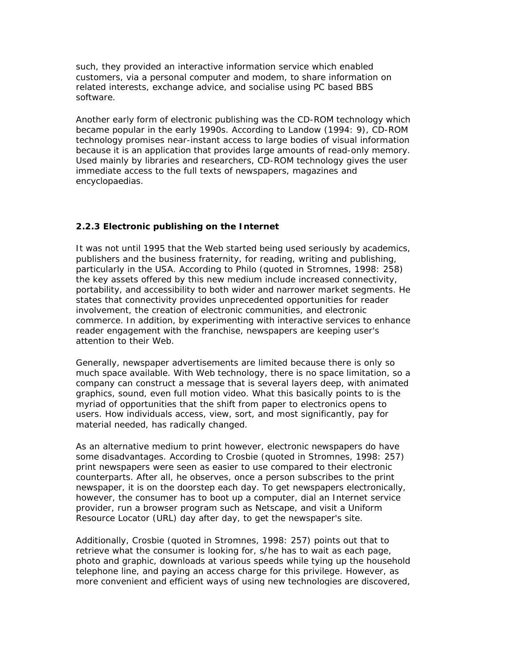such, they provided an interactive information service which enabled customers, via a personal computer and modem, to share information on related interests, exchange advice, and socialise using PC based BBS software.

Another early form of electronic publishing was the CD-ROM technology which became popular in the early 1990s. According to Landow (1994: 9), CD-ROM technology promises near-instant access to large bodies of visual information because it is an application that provides large amounts of read-only memory. Used mainly by libraries and researchers, CD-ROM technology gives the user immediate access to the full texts of newspapers, magazines and encyclopaedias.

# **2.2.3 Electronic publishing on the Internet**

It was not until 1995 that the Web started being used seriously by academics, publishers and the business fraternity, for reading, writing and publishing, particularly in the USA. According to Philo (quoted in Stromnes, 1998: 258) the key assets offered by this new medium include increased connectivity, portability, and accessibility to both wider and narrower market segments. He states that connectivity provides unprecedented opportunities for reader involvement, the creation of electronic communities, and electronic commerce. In addition, by experimenting with interactive services to enhance reader engagement with the franchise, newspapers are keeping user's attention to their Web.

Generally, newspaper advertisements are limited because there is only so much space available. With Web technology, there is no space limitation, so a company can construct a message that is several layers deep, with animated graphics, sound, even full motion video. What this basically points to is the myriad of opportunities that the shift from paper to electronics opens to users. How individuals access, view, sort, and most significantly, pay for material needed, has radically changed.

As an alternative medium to print however, electronic newspapers do have some disadvantages. According to Crosbie (quoted in Stromnes, 1998: 257) print newspapers were seen as easier to use compared to their electronic counterparts. After all, he observes, once a person subscribes to the print newspaper, it is on the doorstep each day. To get newspapers electronically, however, the consumer has to boot up a computer, dial an Internet service provider, run a browser program such as Netscape, and visit a Uniform Resource Locator (URL) day after day, to get the newspaper's site.

Additionally, Crosbie (quoted in Stromnes, 1998: 257) points out that to retrieve what the consumer is looking for, s/he has to wait as each page, photo and graphic, downloads at various speeds while tying up the household telephone line, and paying an access charge for this privilege. However, as more convenient and efficient ways of using new technologies are discovered,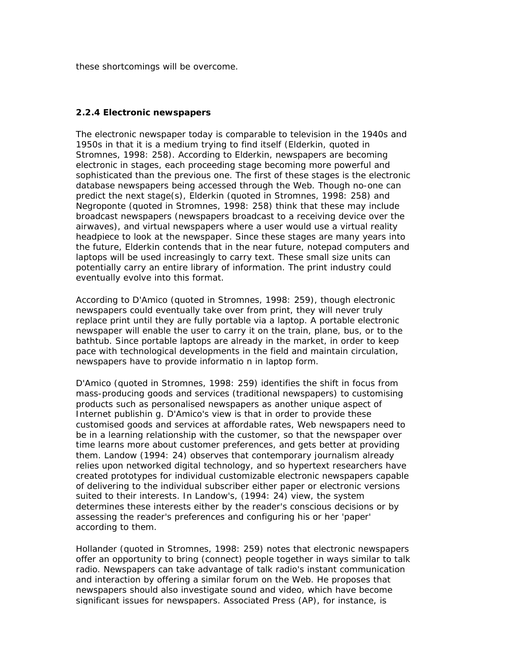these shortcomings will be overcome.

# **2.2.4 Electronic newspapers**

The electronic newspaper today is comparable to television in the 1940s and 1950s in that it is a medium trying to find itself (Elderkin, quoted in Stromnes, 1998: 258). According to Elderkin, newspapers are becoming electronic in stages, each proceeding stage becoming more powerful and sophisticated than the previous one. The first of these stages is the electronic database newspapers being accessed through the Web. Though no-one can predict the next stage(s), Elderkin (quoted in Stromnes, 1998: 258) and Negroponte (quoted in Stromnes, 1998: 258) think that these may include broadcast newspapers (newspapers broadcast to a receiving device over the airwaves), and virtual newspapers where a user would use a virtual reality headpiece to look at the newspaper. Since these stages are many years into the future, Elderkin contends that in the near future, notepad computers and laptops will be used increasingly to carry text. These small size units can potentially carry an entire library of information. The print industry could eventually evolve into this format.

According to D'Amico (quoted in Stromnes, 1998: 259), though electronic newspapers could eventually take over from print, they will never truly replace print until they are fully portable via a laptop. A portable electronic newspaper will enable the user to carry it on the train, plane, bus, or to the bathtub. Since portable laptops are already in the market, in order to keep pace with technological developments in the field and maintain circulation, newspapers have to provide informatio n in laptop form.

D'Amico (quoted in Stromnes, 1998: 259) identifies the shift in focus from mass-producing goods and services (traditional newspapers) to customising products such as personalised newspapers as another unique aspect of Internet publishin g. D'Amico's view is that in order to provide these customised goods and services at affordable rates, Web newspapers need to be in a learning relationship with the customer, so that the newspaper over time learns more about customer preferences, and gets better at providing them. Landow (1994: 24) observes that contemporary journalism already relies upon networked digital technology, and so hypertext researchers have created prototypes for individual customizable electronic newspapers capable of delivering to the individual subscriber either paper or electronic versions suited to their interests. In Landow's, (1994: 24) view, the system determines these interests either by the reader's conscious decisions or by assessing the reader's preferences and configuring his or her 'paper' according to them.

Hollander (quoted in Stromnes, 1998: 259) notes that electronic newspapers offer an opportunity to bring (connect) people together in ways similar to talk radio. Newspapers can take advantage of talk radio's instant communication and interaction by offering a similar forum on the Web. He proposes that newspapers should also investigate sound and video, which have become significant issues for newspapers. Associated Press (AP), for instance, is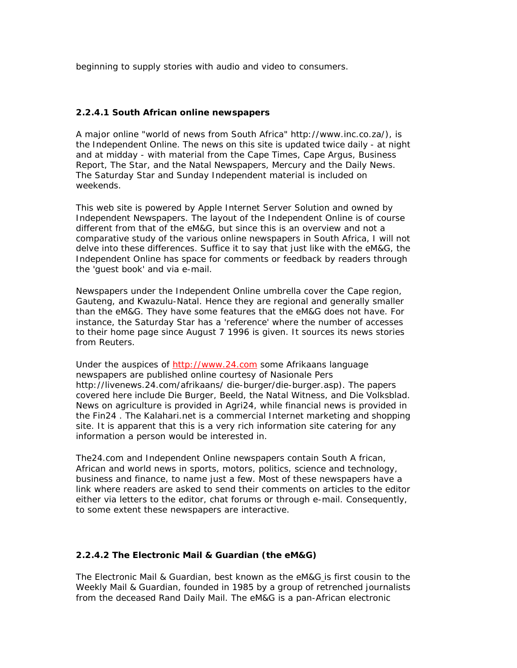beginning to supply stories with audio and video to consumers.

# **2.2.4.1 South African online newspapers**

A major online "world of news from South Africa" http://www.inc.co.za/), is the Independent Online. The news on this site is updated twice daily - at night and at midday - with material from the *Cape Times*, *Cape Argus*, *Business Report*, *The Star*, and the Natal Newspapers, *Mercury* and the *Daily News.* The *Saturday Star* and *Sunday Independent* material is included on weekends.

This web site is powered by Apple Internet Server Solution and owned by Independent Newspapers. The layout of the Independent Online is of course different from that of the *eM&G*, but since this is an overview and not a comparative study of the various online newspapers in South Africa, I will not delve into these differences. Suffice it to say that just like with the *eM&G*, the Independent Online has space for comments or feedback by readers through the 'guest book' and via e-mail.

Newspapers under the Independent Online umbrella cover the Cape region, Gauteng, and Kwazulu-Natal. Hence they are regional and generally smaller than the *eM&G*. They have some features that the *eM&G* does not have. For instance, the *Saturday Star* has a 'reference' where the number of accesses to their home page since August 7 1996 is given. It sources its news stories from Reuters.

Under the auspices of http://www.24.com some Afrikaans language newspapers are published online courtesy of Nasionale Pers http://livenews.24.com/afrikaans/ die-burger/die-burger.asp). The papers covered here include *Die Burger, Beeld*, the *Natal Witness*, and *Die Volksblad*. News on agriculture is provided in *Agri24*, while financial news is provided in the *Fin24* . The Kalahari.net is a commercial Internet marketing and shopping site. It is apparent that this is a very rich information site catering for any information a person would be interested in.

The24.com and Independent Online newspapers contain South A frican, African and world news in sports, motors, politics, science and technology, business and finance, to name just a few. Most of these newspapers have a link where readers are asked to send their comments on articles to the editor either via letters to the editor, chat forums or through e-mail. Consequently, to some extent these newspapers are interactive.

# **2.2.4.2 The Electronic Mail & Guardian (the eM&G)**

The *Electronic Mail & Guardian*, best known as the *eM&G* is first cousin to the *Weekly Mail & Guardian*, founded in 1985 by a group of retrenched journalists from the deceased *Rand Daily Mail.* The *eM&G* is a pan-African electronic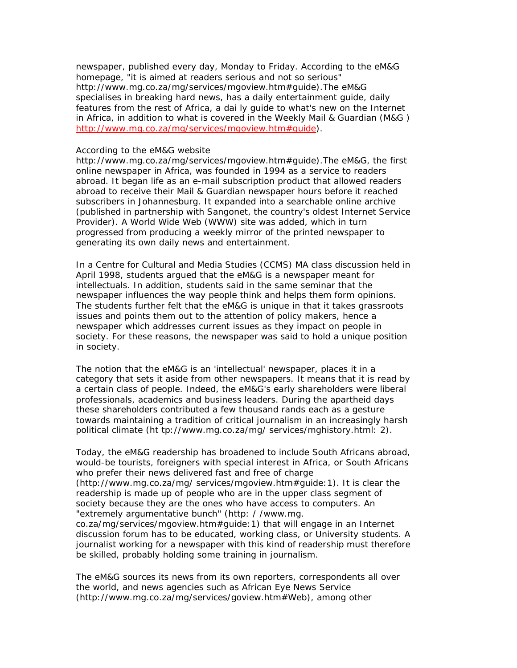newspaper, published every day, Monday to Friday. According to the eM&G homepage, "it is aimed at readers serious and not so serious" http://www.mg.co.za/mg/services/mgoview.htm#guide).The *eM&G* specialises in breaking hard news, has a daily entertainment guide, daily features from the rest of Africa, a dai ly guide to what's new on the Internet in Africa, in addition to what is covered in the *Weekly Mail & Guardian (M&G )* http://www.mg.co.za/mg/services/mgoview.htm#guide).

#### According to the *eM&G* website

http://www.mg.co.za/mg/services/mgoview.htm#guide).The *eM&G*, the first online newspaper in Africa, was founded in 1994 as a service to readers abroad. It began life as an e-mail subscription product that allowed readers abroad to receive their *Mail & Guardian* newspaper hours before it reached subscribers in Johannesburg. It expanded into a searchable online archive (published in partnership with Sangonet, the country's oldest Internet Service Provider). A World Wide Web (WWW) site was added, which in turn progressed from producing a weekly mirror of the printed newspaper to generating its own daily news and entertainment.

In a Centre for Cultural and Media Studies (CCMS) MA class discussion held in April 1998, students argued that the *eM&G* is a newspaper meant for intellectuals. In addition, students said in the same seminar that the newspaper influences the way people think and helps them form opinions. The students further felt that the *eM&G* is unique in that it takes grassroots issues and points them out to the attention of policy makers, hence a newspaper which addresses current issues as they impact on people in society. For these reasons, the newspaper was said to hold a unique position in society.

The notion that the *eM&G* is an 'intellectual' newspaper, places it in a category that sets it aside from other newspapers. It means that it is read by a certain class of people. Indeed, the *eM&G's* early shareholders were liberal professionals, academics and business leaders. During the apartheid days these shareholders contributed a few thousand rands each as a gesture towards maintaining a tradition of critical journalism in an increasingly harsh political climate (ht tp://www.mg.co.za/mg/ services/mghistory.html: 2).

Today, the *eM&G* readership has broadened to include South Africans abroad, would-be tourists, foreigners with special interest in Africa, or South Africans who prefer their news delivered fast and free of charge (http://www.mg.co.za/mg/ services/mgoview.htm#guide:1). It is clear the readership is made up of people who are in the upper class segment of society because they are the ones who have access to computers. An "extremely argumentative bunch" (http: / /www.mg. co.za/mg/services/mgoview.htm#guide:1) that will engage in an Internet discussion forum has to be educated, working class, or University students. A

journalist working for a newspaper with this kind of readership must therefore be skilled, probably holding some training in journalism.

The *eM&G* sources its news from its own reporters, correspondents all over the world, and news agencies such as African Eye News Service (http://www.mg.co.za/mg/services/goview.htm#Web), among other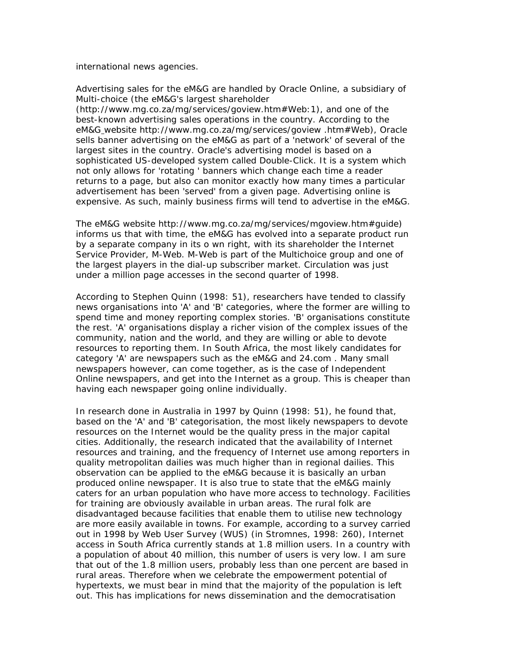international news agencies.

Advertising sales for the *eM&G* are handled by Oracle Online, a subsidiary of Multi-choice (the *eM&G's* largest shareholder

(http://www.mg.co.za/mg/services/goview.htm#Web:1), and one of the best-known advertising sales operations in the country. According to the *eM&G* website http://www.mg.co.za/mg/services/goview .htm#Web), Oracle sells banner advertising on the *eM&G* as part of a 'network' of several of the largest sites in the country. Oracle's advertising model is based on a sophisticated US-developed system called Double-Click. It is a system which not only allows for 'rotating ' banners which change each time a reader returns to a page, but also can monitor exactly how many times a particular advertisement has been 'served' from a given page. Advertising online is expensive. As such, mainly business firms will tend to advertise in the *eM&G*.

The *eM&G* website http://www.mg.co.za/mg/services/mgoview.htm#guide) informs us that with time, the *eM&G* has evolved into a separate product run by a separate company in its o wn right, with its shareholder the Internet Service Provider, M-Web. M-Web is part of the Multichoice group and one of the largest players in the dial-up subscriber market. Circulation was just under a million page accesses in the second quarter of 1998.

According to Stephen Quinn (1998: 51), researchers have tended to classify news organisations into 'A' and 'B' categories, where the former are willing to spend time and money reporting complex stories. 'B' organisations constitute the rest. 'A' organisations display a richer vision of the complex issues of the community, nation and the world, and they are willing or able to devote resources to reporting them. In South Africa, the most likely candidates for category 'A' are newspapers such as the *eM&G* and *24.com* . Many small newspapers however, can come together, as is the case of Independent Online newspapers, and get into the Internet as a group. This is cheaper than having each newspaper going online individually.

In research done in Australia in 1997 by Quinn (1998: 51), he found that, based on the 'A' and 'B' categorisation, the most likely newspapers to devote resources on the Internet would be the quality press in the major capital cities. Additionally, the research indicated that the availability of Internet resources and training, and the frequency of Internet use among reporters in quality metropolitan dailies was much higher than in regional dailies. This observation can be applied to the *eM&G* because it is basically an urban produced online newspaper. It is also true to state that the *eM&G* mainly caters for an urban population who have more access to technology. Facilities for training are obviously available in urban areas. The rural folk are disadvantaged because facilities that enable them to utilise new technology are more easily available in towns. For example, according to a survey carried out in 1998 by Web User Survey (WUS) (in Stromnes, 1998: 260), Internet access in South Africa currently stands at 1.8 million users. In a country with a population of about 40 million, this number of users is very low. I am sure that out of the 1.8 million users, probably less than one percent are based in rural areas. Therefore when we celebrate the empowerment potential of hypertexts, we must bear in mind that the majority of the population is left out. This has implications for news dissemination and the democratisation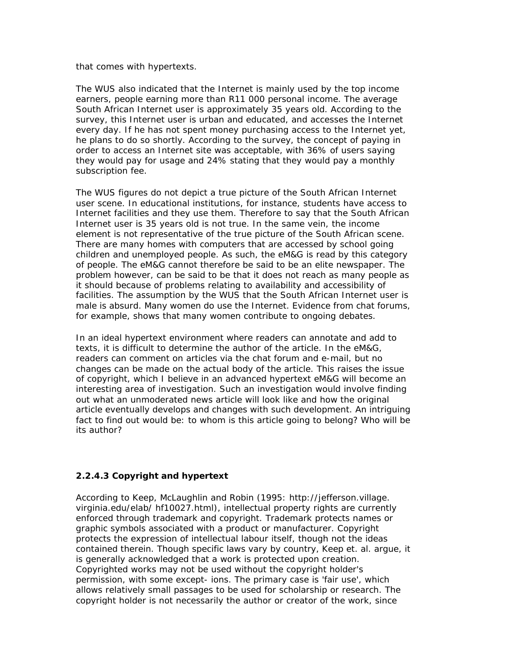that comes with hypertexts.

The WUS also indicated that the Internet is mainly used by the top income earners, people earning more than R11 000 personal income. The average South African Internet user is approximately 35 years old. According to the survey, this Internet user is urban and educated, and accesses the Internet every day. If he has not spent money purchasing access to the Internet yet, he plans to do so shortly. According to the survey, the concept of paying in order to access an Internet site was acceptable, with 36% of users saying they would pay for usage and 24% stating that they would pay a monthly subscription fee.

The WUS figures do not depict a true picture of the South African Internet user scene. In educational institutions, for instance, students have access to Internet facilities and they use them. Therefore to say that the South African Internet user is 35 years old is not true. In the same vein, the income element is not representative of the true picture of the South African scene. There are many homes with computers that are accessed by school going children and unemployed people. As such, the *eM&G* is read by this category of people. The *eM&G* cannot therefore be said to be an elite newspaper. The problem however, can be said to be that it does not reach as many people as it should because of problems relating to availability and accessibility of facilities. The assumption by the WUS that the South African Internet user is male is absurd. Many women do use the Internet. Evidence from chat forums, for example, shows that many women contribute to ongoing debates.

In an ideal hypertext environment where readers can annotate and add to texts, it is difficult to determine the author of the article. In the eM&G, readers can comment on articles via the chat forum and e-mail, but no changes can be made on the actual body of the article. This raises the issue of copyright, which I believe in an advanced hypertext *eM&G* will become an interesting area of investigation. Such an investigation would involve finding out what an unmoderated news article will look like and how the original article eventually develops and changes with such development. An intriguing fact to find out would be: to whom is this article going to belong? Who will be its author?

# **2.2.4.3 Copyright and hypertext**

According to Keep, McLaughlin and Robin (1995: http://jefferson.village. virginia.edu/elab/ hf10027.html), intellectual property rights are currently enforced through trademark and copyright. Trademark protects names or graphic symbols associated with a product or manufacturer. Copyright protects the expression of intellectual labour itself, though not the ideas contained therein. Though specific laws vary by country, Keep et. al. argue, it is generally acknowledged that a work is protected upon creation. Copyrighted works may not be used without the copyright holder's permission, with some except- ions. The primary case is 'fair use', which allows relatively small passages to be used for scholarship or research. The copyright holder is not necessarily the author or creator of the work, since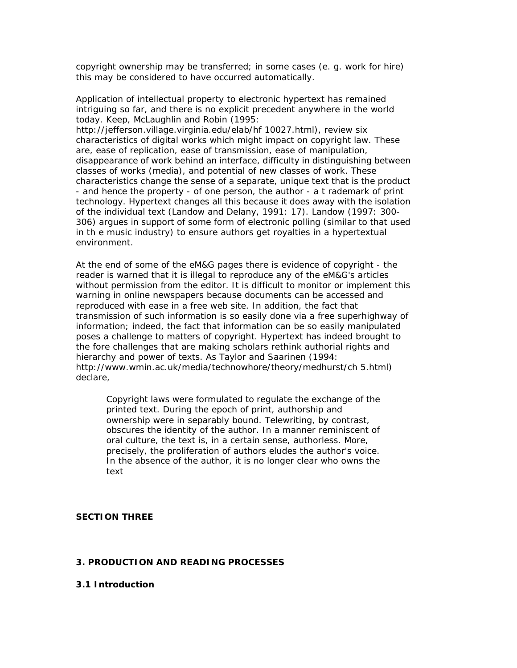copyright ownership may be transferred; in some cases (e. g. work for hire) this may be considered to have occurred automatically.

Application of intellectual property to electronic hypertext has remained intriguing so far, and there is no explicit precedent anywhere in the world today. Keep, McLaughlin and Robin (1995: http://jefferson.village.virginia.edu/elab/hf 10027.html), review six characteristics of digital works which might impact on copyright law. These are, ease of replication, ease of transmission, ease of manipulation, disappearance of work behind an interface, difficulty in distinguishing between classes of works (media), and potential of new classes of work. These characteristics change the sense of a separate, unique text that is the product - and hence the property - of one person, the author - a t rademark of print technology. Hypertext changes all this because it does away with the isolation of the individual text (Landow and Delany, 1991: 17). Landow (1997: 300- 306) argues in support of some form of electronic polling (similar to that used in th e music industry) to ensure authors get royalties in a hypertextual environment.

At the end of some of the eM&G pages there is evidence of copyright - the reader is warned that it is illegal to reproduce any of the *eM&G's* articles without permission from the editor. It is difficult to monitor or implement this warning in online newspapers because documents can be accessed and reproduced with ease in a free web site. In addition, the fact that transmission of such information is so easily done via a free superhighway of information; indeed, the fact that information can be so easily manipulated poses a challenge to matters of copyright. Hypertext has indeed brought to the fore challenges that are making scholars rethink authorial rights and hierarchy and power of texts. As Taylor and Saarinen (1994: http://www.wmin.ac.uk/media/technowhore/theory/medhurst/ch 5.html) declare,

Copyright laws were formulated to regulate the exchange of the printed text. During the epoch of print, authorship and ownership were in separably bound. Telewriting, by contrast, obscures the identity of the author. In a manner reminiscent of oral culture, the text is, in a certain sense, authorless. More, precisely, the proliferation of authors eludes the author's voice. In the absence of the author, it is no longer clear who owns the text

### *SECTION THREE*

### **3. PRODUCTION AND READING PROCESSES**

# **3.1 Introduction**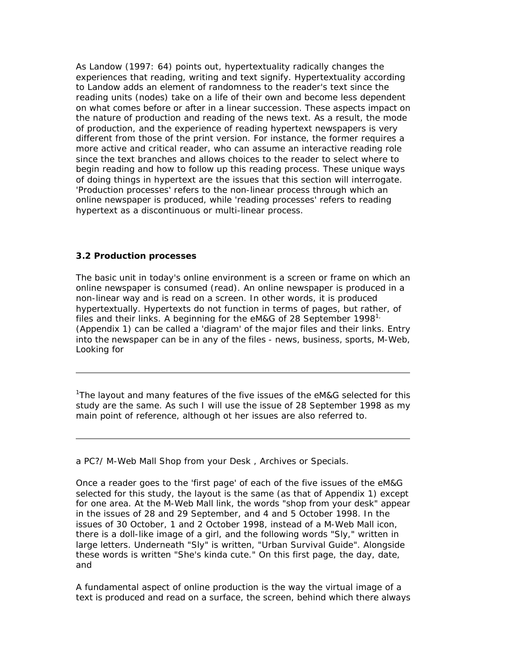As Landow (1997: 64) points out, hypertextuality radically changes the experiences that reading, writing and text signify. Hypertextuality according to Landow adds an element of randomness to the reader's text since the reading units (nodes) take on a life of their own and become less dependent on what comes before or after in a linear succession. These aspects impact on the nature of production and reading of the news text. As a result, the mode of production, and the experience of reading hypertext newspapers is very different from those of the print version. For instance, the former requires a more active and critical reader, who can assume an interactive reading role since the text branches and allows choices to the reader to select where to begin reading and how to follow up this reading process. These unique ways of doing things in hypertext are the issues that this section will interrogate. 'Production processes' refers to the non-linear process through which an online newspaper is produced, while 'reading processes' refers to reading hypertext as a discontinuous or multi-linear process.

# **3.2 Production processes**

The basic unit in today's online environment is a screen or frame on which an online newspaper is consumed (read). An online newspaper is produced in a non-linear way and is read on a screen. In other words, it is produced hypertextually. Hypertexts do not function in terms of pages, but rather, of files and their links. A beginning for the *eM&G* of 28 September 1998<sup>1</sup> (Appendix 1) can be called a 'diagram' of the major files and their links. Entry into the newspaper can be in any of the files - news, business, sports, M-Web, Looking for

<sup>1</sup>The layout and many features of the five issues of the *eM&G* selected for this study are the same. As such I will use the issue of 28 September 1998 as my main point of reference, although ot her issues are also referred to.

# a *PC?/ M-Web Mall Shop from your Desk , Archives* or *Specials.*

Once a reader goes to the 'first page' of each of the five issues of the *eM&G* selected for this study, the layout is the same (as that of Appendix 1) except for one area. At the *M-Web Mall* link, the words "shop from your desk" appear in the issues of 28 and 29 September, and 4 and 5 October 1998. In the issues of 30 October, 1 and 2 October 1998, instead of a *M-Web Mall* icon, there is a doll-like image of a girl, and the following words "Sly," written in large letters. Underneath "Sly" is written, "Urban Survival Guide". Alongside these words is written "She's kinda cute." On this first page, the day, date, and

A fundamental aspect of online production is the way the virtual image of a text is produced and read on a surface, the screen, behind which there always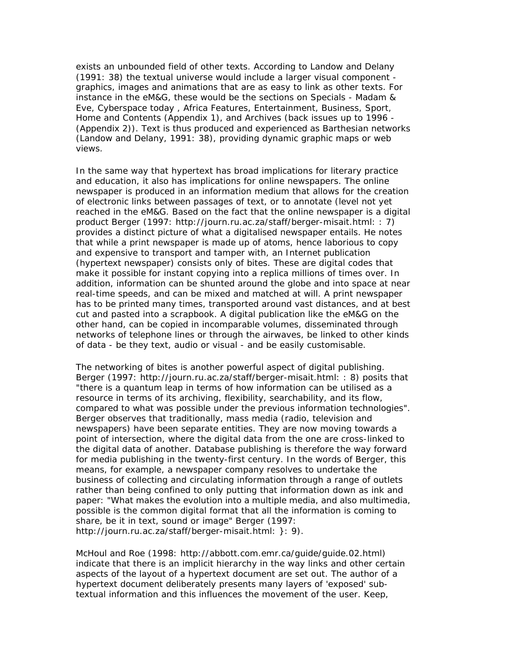exists an unbounded field of other texts. According to Landow and Delany (1991: 38) the textual universe would include a larger visual component graphics, images and animations that are as easy to link as other texts. For instance in the *eM&G*, these would be the sections on *Specials - Madam & Eve, Cyberspace today , Africa Features, Entertainment, Business, Sport, Home* and *Contents* (Appendix 1), and *Archives* (back issues up to 1996 - (Appendix 2)). Text is thus produced and experienced as Barthesian networks (Landow and Delany, 1991: 38), providing dynamic graphic maps or web views.

In the same way that hypertext has broad implications for literary practice and education, it also has implications for online newspapers. The online newspaper is produced in an information medium that allows for the creation of electronic links between passages of text, or to annotate (level not yet reached in the *eM&G*. Based on the fact that the online newspaper is a digital product Berger (1997: http://journ.ru.ac.za/staff/berger-misait.html: : 7) provides a distinct picture of what a digitalised newspaper entails. He notes that while a print newspaper is made up of atoms, hence laborious to copy and expensive to transport and tamper with, an Internet publication (hypertext newspaper) consists only of bites. These are digital codes that make it possible for instant copying into a replica millions of times over. In addition, information can be shunted around the globe and into space at near real-time speeds, and can be mixed and matched at will. A print newspaper has to be printed many times, transported around vast distances, and at best cut and pasted into a scrapbook. A digital publication like the *eM&G* on the other hand, can be copied in incomparable volumes, disseminated through networks of telephone lines or through the airwaves, be linked to other kinds of data - be they text, audio or visual - and be easily customisable.

The networking of bites is another powerful aspect of digital publishing. Berger (1997: http://journ.ru.ac.za/staff/berger-misait.html: : 8) posits that "there is a quantum leap in terms of how information can be utilised as a resource in terms of its archiving, flexibility, searchability, and its flow, compared to what was possible under the previous information technologies". Berger observes that traditionally, mass media (radio, television and newspapers) have been separate entities. They are now moving towards a point of intersection, where the digital data from the one are cross-linked to the digital data of another. Database publishing is therefore the way forward for media publishing in the twenty-first century. In the words of Berger, this means, for example, a newspaper company resolves to undertake the business of collecting and circulating information through a range of outlets rather than being confined to only putting that information down as ink and paper: "What makes the evolution into a multiple media, and also multimedia, possible is the common digital format that all the information is coming to share, be it in text, sound or image" Berger (1997: http://journ.ru.ac.za/staff/berger-misait.html: }: 9).

McHoul and Roe (1998: http://abbott.com.emr.ca/guide/guide.02.html) indicate that there is an implicit hierarchy in the way links and other certain aspects of the layout of a hypertext document are set out. The author of a hypertext document deliberately presents many layers of 'exposed' subtextual information and this influences the movement of the user. Keep,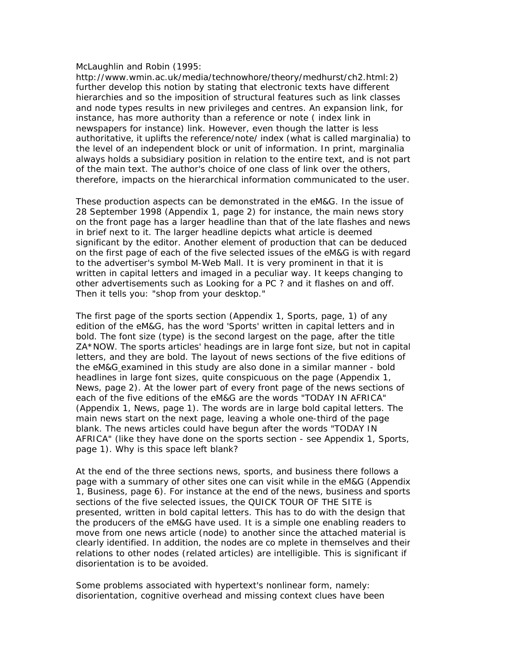#### McLaughlin and Robin (1995:

http://www.wmin.ac.uk/media/technowhore/theory/medhurst/ch2.html:2) further develop this notion by stating that electronic texts have different hierarchies and so the imposition of structural features such as link classes and node types results in new privileges and centres. An expansion link, for instance, has more authority than a reference or note ( index link in newspapers for instance) link. However, even though the latter is less authoritative, it uplifts the reference/note/ index (what is called marginalia) to the level of an independent block or unit of information. In print, marginalia always holds a subsidiary position in relation to the entire text, and is not part of the main text. The author's choice of one class of link over the others, therefore, impacts on the hierarchical information communicated to the user.

These production aspects can be demonstrated in the *eM&G*. In the issue of 28 September 1998 (Appendix 1, page 2) for instance, the main news story on the front page has a larger headline than that of the late flashes and news in brief next to it. The larger headline depicts what article is deemed significant by the editor. Another element of production that can be deduced on the first page of each of the five selected issues of the *eM&G* is with regard to the advertiser's symbol *M-Web Mall*. It is very prominent in that it is written in capital letters and imaged in a peculiar way. It keeps changing to other advertisements such as Looking for a *PC* ? and it flashes on and off. Then it tells you: "shop from your desktop."

The first page of the sports section (Appendix 1, Sports, page, 1) of any edition of the *eM&G*, has the word 'Sports' written in capital letters and in bold. The font size (type) is the second largest on the page, after the title ZA\*NOW. The sports articles' headings are in large font size, but not in capital letters, and they are bold. The layout of *news* sections of the five editions of the *eM&G* examined in this study are also done in a similar manner - bold headlines in large font sizes, quite conspicuous on the page (Appendix 1, News, page 2). At the lower part of every front page of the news sections of each of the five editions of the *eM&G* are the words "TODAY IN AFRICA" (Appendix 1, News, page 1). The words are in large bold capital letters. The main news start on the next page, leaving a whole one-third of the page blank. The news articles could have begun after the words "TODAY IN AFRICA" (like they have done on the sports section - see Appendix 1, Sports, page 1). Why is this space left blank?

At the end of the three sections n*ews, sports*, and *business* there follows a page with a summary of other sites one can visit while in the *eM&G* (Appendix 1, Business, page 6). For instance at the end of the *news, business* and *sports* sections of the five selected issues, the QUICK TOUR OF THE SITE is presented, written in bold capital letters. This has to do with the design that the producers of the eM&G have used. It is a simple one enabling readers to move from one news article (node) to another since the attached material is clearly identified. In addition, the nodes are co mplete in themselves and their relations to other nodes (related articles) are intelligible. This is significant if disorientation is to be avoided.

Some problems associated with hypertext's nonlinear form, namely: disorientation, cognitive overhead and missing context clues have been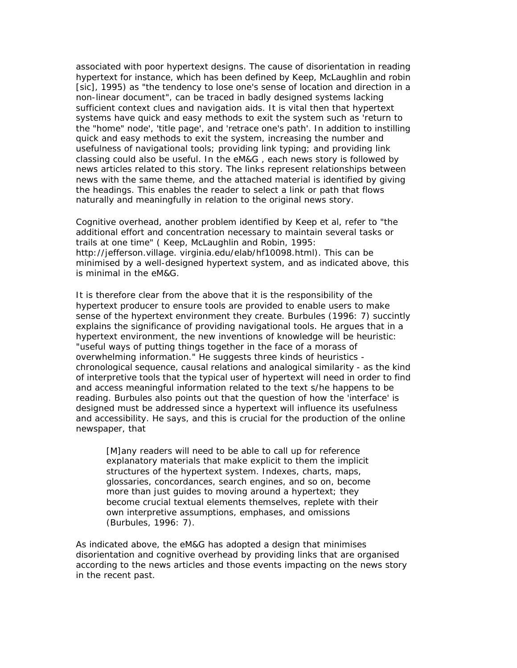associated with poor hypertext designs. The cause of disorientation in reading hypertext for instance, which has been defined by Keep, McLaughlin and robin [sic], 1995) as "the tendency to lose one's sense of location and direction in a non-linear document", can be traced in badly designed systems lacking sufficient context clues and navigation aids. It is vital then that hypertext systems have quick and easy methods to exit the system such as 'return to the "home" node', 'title page', and 'retrace one's path'. In addition to instilling quick and easy methods to exit the system, increasing the number and usefulness of navigational tools; providing link typing; and providing link classing could also be useful. In the *eM&G* , each news story is followed by news articles related to this story. The links represent relationships between news with the same theme, and the attached material is identified by giving the headings. This enables the reader to select a link or path that flows naturally and meaningfully in relation to the original news story.

Cognitive overhead, another problem identified by Keep et al, refer to "the additional effort and concentration necessary to maintain several tasks or trails at one time" ( Keep, McLaughlin and Robin, 1995: http://jefferson.village. virginia.edu/elab/hf10098.html). This can be minimised by a well-designed hypertext system, and as indicated above, this is minimal in the *eM&G.*

It is therefore clear from the above that it is the responsibility of the hypertext producer to ensure tools are provided to enable users to make sense of the hypertext environment they create. Burbules (1996: 7) succintly explains the significance of providing navigational tools. He argues that in a hypertext environment, the new inventions of knowledge will be heuristic: "useful ways of putting things together in the face of a morass of overwhelming information." He suggests three kinds of heuristics chronological sequence, causal relations and analogical similarity - as the kind of interpretive tools that the typical user of hypertext will need in order to find and access meaningful information related to the text s/he happens to be reading. Burbules also points out that the question of how the 'interface' is designed must be addressed since a hypertext will influence its usefulness and accessibility. He says, and this is crucial for the production of the online newspaper, that

[M]any readers will need to be able to call up for reference explanatory materials that make explicit to them the implicit structures of the hypertext system. Indexes, charts, maps, glossaries, concordances, search engines, and so on, become more than just guides to moving around a hypertext; they become crucial textual elements themselves, replete with their own interpretive assumptions, emphases, and omissions (Burbules, 1996: 7).

As indicated above, the *eM&G* has adopted a design that minimises disorientation and cognitive overhead by providing links that are organised according to the news articles and those events impacting on the news story in the recent past.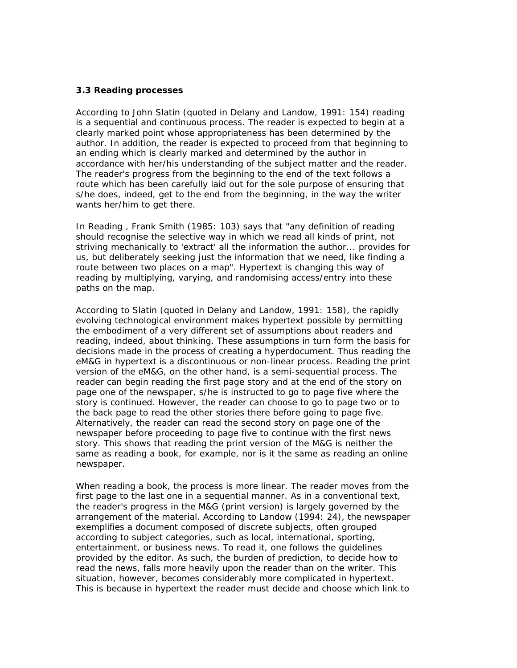# **3.3 Reading processes**

According to John Slatin (quoted in Delany and Landow, 1991: 154) reading is a sequential and continuous process. The reader is expected to begin at a clearly marked point whose appropriateness has been determined by the author. In addition, the reader is expected to proceed from that beginning to an ending which is clearly marked and determined by the author in accordance with her/his understanding of the subject matter and the reader. The reader's progress from the beginning to the end of the text follows a route which has been carefully laid out for the sole purpose of ensuring that s/he does, indeed, get to the end from the beginning, in the way the writer wants her/him to get there.

In *Reading* , Frank Smith (1985: 103) says that "any definition of reading should recognise the selective way in which we read all kinds of print, not striving mechanically to 'extract' all the information the author... provides for us, but deliberately seeking just the information that we need, like finding a route between two places on a map". Hypertext is changing this way of reading by multiplying, varying, and randomising access/entry into these paths on the map.

According to Slatin (quoted in Delany and Landow, 1991: 158), the rapidly evolving technological environment makes hypertext possible by permitting the embodiment of a very different set of assumptions about readers and reading, indeed, about thinking. These assumptions in turn form the basis for decisions made in the process of creating a hyperdocument. Thus reading the eM&G in hypertext is a discontinuous or non-linear process. Reading the print version of the *eM&G*, on the other hand, is a semi-sequential process. The reader can begin reading the first page story and at the end of the story on page one of the newspaper, s/he is instructed to go to page five where the story is continued. However, the reader can choose to go to page two or to the back page to read the other stories there before going to page five. Alternatively, the reader can read the second story on page one of the newspaper before proceeding to page five to continue with the first news story. This shows that reading the print version of the *M&G* is neither the same as reading a book, for example, nor is it the same as reading an online newspaper.

When reading a book, the process is more linear. The reader moves from the first page to the last one in a sequential manner. As in a conventional text, the reader's progress in the M&G (print version) is largely governed by the arrangement of the material. According to Landow (1994: 24), the newspaper exemplifies a document composed of discrete subjects, often grouped according to subject categories, such as local, international, sporting, entertainment, or business news. To read it, one follows the guidelines provided by the editor. As such, the burden of prediction, to decide how to read the news, falls more heavily upon the reader than on the writer. This situation, however, becomes considerably more complicated in hypertext. This is because in hypertext the reader must decide and choose which link to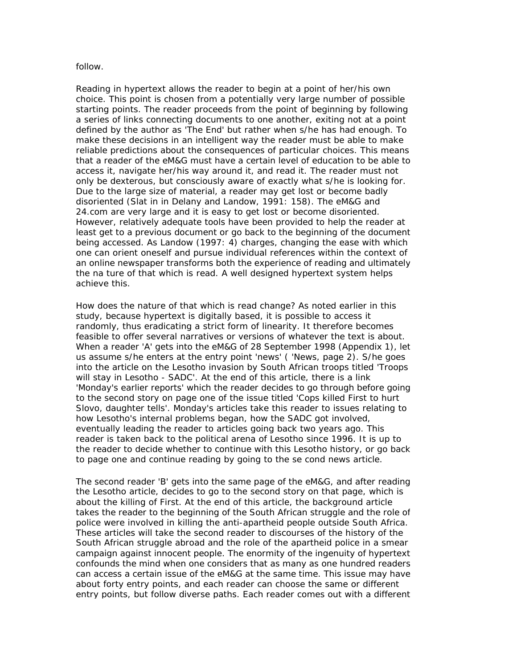#### follow.

Reading in hypertext allows the reader to begin at a point of her/his own choice. This point is chosen from a potentially very large number of possible starting points. The reader proceeds from the point of beginning by following a series of links connecting documents to one another, exiting not at a point defined by the author as 'The End' but rather when s/he has had enough. To make these decisions in an intelligent way the reader must be able to make reliable predictions about the consequences of particular choices. This means that a reader of the *eM&G* must have a certain level of education to be able to access it, navigate her/his way around it, and read it. The reader must not only be dexterous, but consciously aware of exactly what s/he is looking for. Due to the large size of material, a reader may get lost or become badly disoriented (Slat in in Delany and Landow, 1991: 158). The *eM&G* and *24.com* are very large and it is easy to get lost or become disoriented. However, relatively adequate tools have been provided to help the reader at least get to a previous document or go back to the beginning of the document being accessed. As Landow (1997: 4) charges, changing the ease with which one can orient oneself and pursue individual references within the context of an online newspaper transforms both the experience of reading and ultimately the na ture of that which is read. A well designed hypertext system helps achieve this.

How does the nature of that which is read change? As noted earlier in this study, because hypertext is digitally based, it is possible to access it randomly, thus eradicating a strict form of linearity. It therefore becomes feasible to offer several narratives or versions of whatever the text is about. When a reader 'A' gets into the *eM&G* of 28 September 1998 (Appendix 1), let us assume s/he enters at the entry point 'news' ( 'News, page 2). S/he goes into the article on the Lesotho invasion by South African troops titled 'Troops will stay in Lesotho - SADC'. At the end of this article, there is a link 'Monday's earlier reports' which the reader decides to go through before going to the second story on page one of the issue titled 'Cops killed First to hurt Slovo, daughter tells'. Monday's articles take this reader to issues relating to how Lesotho's internal problems began, how the SADC got involved, eventually leading the reader to articles going back two years ago. This reader is taken back to the political arena of Lesotho since 1996. It is up to the reader to decide whether to continue with this Lesotho history, or go back to page one and continue reading by going to the se cond news article.

The second reader 'B' gets into the same page of the *eM&G*, and after reading the Lesotho article, decides to go to the second story on that page, which is about the killing of First. At the end of this article, the background article takes the reader to the beginning of the South African struggle and the role of police were involved in killing the anti-apartheid people outside South Africa. These articles will take the second reader to discourses of the history of the South African struggle abroad and the role of the apartheid police in a smear campaign against innocent people. The enormity of the ingenuity of hypertext confounds the mind when one considers that as many as one hundred readers can access a certain issue of the *eM&G* at the same time. This issue may have about forty entry points, and each reader can choose the same or different entry points, but follow diverse paths. Each reader comes out with a different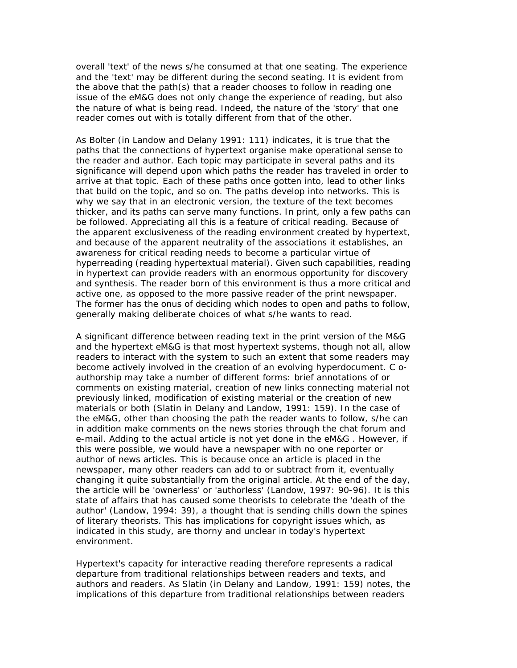overall 'text' of the news s/he consumed at that one seating. The experience and the 'text' may be different during the second seating. It is evident from the above that the path(s) that a reader chooses to follow in reading one issue of the *eM&G* does not only change the experience of reading, but also the nature of what is being read. Indeed, the nature of the 'story' that one reader comes out with is totally different from that of the other.

As Bolter (in Landow and Delany 1991: 111) indicates, it is true that the paths that the connections of hypertext organise make operational sense to the reader and author. Each topic may participate in several paths and its significance will depend upon which paths the reader has traveled in order to arrive at that topic. Each of these paths once gotten into, lead to other links that build on the topic, and so on. The paths develop into networks. This is why we say that in an electronic version, the texture of the text becomes thicker, and its paths can serve many functions. In print, only a few paths can be followed. Appreciating all this is a feature of critical reading. Because of the apparent exclusiveness of the reading environment created by hypertext, and because of the apparent neutrality of the associations it establishes, an awareness for critical reading needs to become a particular virtue of hyperreading (reading hypertextual material). Given such capabilities, reading in hypertext can provide readers with an enormous opportunity for discovery and synthesis. The reader born of this environment is thus a more critical and active one, as opposed to the more passive reader of the print newspaper. The former has the onus of deciding which nodes to open and paths to follow, generally making deliberate choices of what s/he wants to read.

A significant difference between reading text in the print version of the *M&G* and the hypertext *eM&G* is that most hypertext systems, though not all, allow readers to interact with the system to such an extent that some readers may become actively involved in the creation of an evolving hyperdocument. C oauthorship may take a number of different forms: brief annotations of or comments on existing material, creation of new links connecting material not previously linked, modification of existing material or the creation of new materials or both (Slatin in Delany and Landow, 1991: 159). In the case of the eM&G, other than choosing the path the reader wants to follow, s/he can in addition make comments on the news stories through the chat forum and e-mail. Adding to the actual article is not yet done in the *eM&G* . However, if this were possible, we would have a newspaper with no one reporter or author of news articles. This is because once an article is placed in the newspaper, many other readers can add to or subtract from it, eventually changing it quite substantially from the original article. At the end of the day, the article will be 'ownerless' or 'authorless' (Landow, 1997: 90-96). It is this state of affairs that has caused some theorists to celebrate the 'death of the author' (Landow, 1994: 39), a thought that is sending chills down the spines of literary theorists. This has implications for copyright issues which, as indicated in this study, are thorny and unclear in today's hypertext environment.

Hypertext's capacity for interactive reading therefore represents a radical departure from traditional relationships between readers and texts, and authors and readers. As Slatin (in Delany and Landow, 1991: 159) notes, the implications of this departure from traditional relationships between readers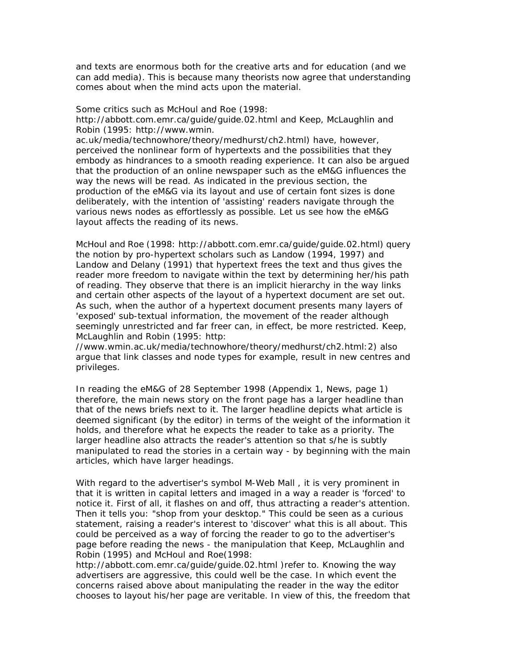and texts are enormous both for the creative arts and for education (and we can add media). This is because many theorists now agree that understanding comes about when the mind acts upon the material.

Some critics such as McHoul and Roe (1998:

http://abbott.com.emr.ca/guide/guide.02.html and Keep, McLaughlin and Robin (1995: http://www.wmin.

ac.uk/media/technowhore/theory/medhurst/ch2.html) have, however, perceived the nonlinear form of hypertexts and the possibilities that they embody as hindrances to a smooth reading experience. It can also be argued that the production of an online newspaper such as the *eM&G* influences the way the news will be read. As indicated in the previous section, the production of the *eM&G* via its layout and use of certain font sizes is done deliberately, with the intention of 'assisting' readers navigate through the various news nodes as effortlessly as possible. Let us see how the eM&G layout affects the reading of its news.

McHoul and Roe (1998: http://abbott.com.emr.ca/guide/guide.02.html) query the notion by pro-hypertext scholars such as Landow (1994, 1997) and Landow and Delany (1991) that hypertext frees the text and thus gives the reader more freedom to navigate within the text by determining her/his path of reading. They observe that there is an implicit hierarchy in the way links and certain other aspects of the layout of a hypertext document are set out. As such, when the author of a hypertext document presents many layers of 'exposed' sub-textual information, the movement of the reader although seemingly unrestricted and far freer can, in effect, be more restricted. Keep, McLaughlin and Robin (1995: http:

//www.wmin.ac.uk/media/technowhore/theory/medhurst/ch2.html:2) also argue that link classes and node types for example, result in new centres and privileges.

In reading the *eM&G* of 28 September 1998 (Appendix 1, News, page 1) therefore, the main news story on the front page has a larger headline than that of the news briefs next to it. The larger headline depicts what article is deemed significant (by the editor) in terms of the weight of the information it holds, and therefore what he expects the reader to take as a priority. The larger headline also attracts the reader's attention so that s/he is subtly manipulated to read the stories in a certain way - by beginning with the main articles, which have larger headings.

With regard to the advertiser's symbol *M-Web Mall* , it is very prominent in that it is written in capital letters and imaged in a way a reader is 'forced' to notice it. First of all, it flashes on and off, thus attracting a reader's attention. Then it tells you: "shop from your desktop." This could be seen as a curious statement, raising a reader's interest to 'discover' what this is all about. This could be perceived as a way of forcing the reader to go to the advertiser's page before reading the news - the manipulation that Keep, McLaughlin and Robin (1995) and McHoul and Roe(1998:

http://abbott.com.emr.ca/guide/guide.02.html )refer to. Knowing the way advertisers are aggressive, this could well be the case. In which event the concerns raised above about manipulating the reader in the way the editor chooses to layout his/her page are veritable. In view of this, the freedom that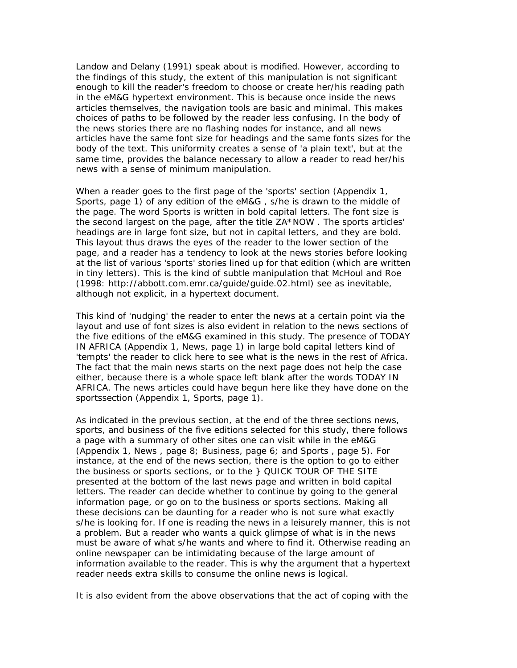Landow and Delany (1991) speak about is modified. However, according to the findings of this study, the extent of this manipulation is not significant enough to kill the reader's freedom to choose or create her/his reading path in the *eM&G* hypertext environment. This is because once inside the news articles themselves, the navigation tools are basic and minimal. This makes choices of paths to be followed by the reader less confusing. In the body of the news stories there are no flashing nodes for instance, and all news articles have the same font size for headings and the same fonts sizes for the body of the text. This uniformity creates a sense of 'a plain text', but at the same time, provides the balance necessary to allow a reader to read her/his news with a sense of minimum manipulation.

When a reader goes to the first page of the 'sports' section (Appendix 1, Sports, page 1) of any edition of the *eM&G* , s/he is drawn to the middle of the page. The word Sports is written in bold capital letters. The font size is the second largest on the page, after the title ZA\*NOW . The sports articles' headings are in large font size, but not in capital letters, and they are bold. This layout thus draws the eyes of the reader to the lower section of the page, and a reader has a tendency to look at the news stories before looking at the list of various 'sports' stories lined up for that edition (which are written in tiny letters). This is the kind of subtle manipulation that McHoul and Roe (1998: http://abbott.com.emr.ca/guide/guide.02.html) see as inevitable, although not explicit, in a hypertext document.

This kind of 'nudging' the reader to enter the news at a certain point via the layout and use of font sizes is also evident in relation to the news sections of the five editions of the *eM&G* examined in this study. The presence of TODAY IN AFRICA (Appendix 1, News, page 1) in large bold capital letters kind of 'tempts' the reader to click here to see what is the news in the rest of Africa. The fact that the main news starts on the next page does not help the case either, because there is a whole space left blank after the words TODAY IN AFRICA. The news articles could have begun here like they have done on the sportssection (Appendix 1, Sports, page 1).

As indicated in the previous section, at the end of the three sections *news*, *sports*, and *business* of the five editions selected for this study, there follows a page with a summary of other sites one can visit while in the *eM&G* (Appendix 1, *News* , page 8; *Business*, page 6; and *Sports* , page 5). For instance, at the end of the *news* section, there is the option to go to either the *business* or *sports* sections, or to the } QUICK TOUR OF THE SITE presented at the bottom of the last *news* page and written in bold capital letters. The reader can decide whether to continue by going to the general information page, or go on to the *business* or *sports* sections. Making all these decisions can be daunting for a reader who is not sure what exactly s/he is looking for. If one is reading the news in a leisurely manner, this is not a problem. But a reader who wants a quick glimpse of what is in the news must be aware of what s/he wants and where to find it. Otherwise reading an online newspaper can be intimidating because of the large amount of information available to the reader. This is why the argument that a hypertext reader needs extra skills to consume the online news is logical.

It is also evident from the above observations that the act of coping with the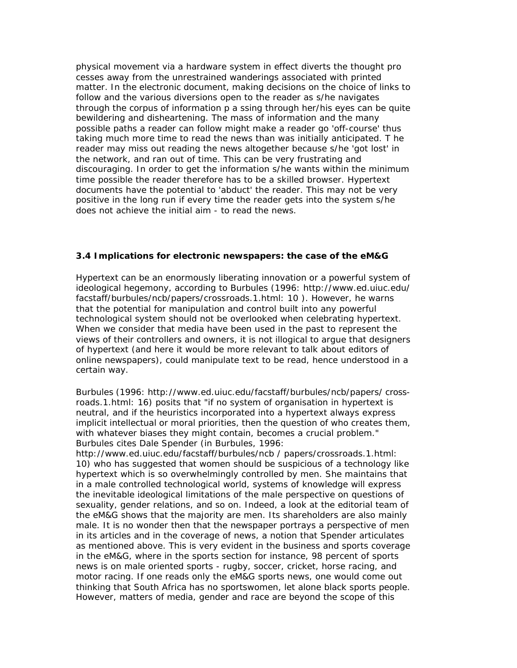physical movement via a hardware system in effect diverts the thought pro cesses away from the unrestrained wanderings associated with printed matter. In the electronic document, making decisions on the choice of links to follow and the various diversions open to the reader as s/he navigates through the corpus of information p a ssing through her/his eyes can be quite bewildering and disheartening. The mass of information and the many possible paths a reader can follow might make a reader go 'off-course' thus taking much more time to read the news than was initially anticipated. T he reader may miss out reading the news altogether because s/he 'got lost' in the network, and ran out of time. This can be very frustrating and discouraging. In order to get the information s/he wants within the minimum time possible the reader therefore has to be a skilled browser. Hypertext documents have the potential to 'abduct' the reader. This may not be very positive in the long run if every time the reader gets into the system s/he does not achieve the initial aim - to read the news.

# **3.4 Implications for electronic newspapers: the case of the eM&G**

Hypertext can be an enormously liberating innovation or a powerful system of ideological hegemony, according to Burbules (1996: http://www.ed.uiuc.edu/ facstaff/burbules/ncb/papers/crossroads.1.html: 10 ). However, he warns that the potential for manipulation and control built into any powerful technological system should not be overlooked when celebrating hypertext. When we consider that media have been used in the past to represent the views of their controllers and owners, it is not illogical to argue that designers of hypertext (and here it would be more relevant to talk about editors of online newspapers), could manipulate text to be read, hence understood in a certain way.

Burbules (1996: http://www.ed.uiuc.edu/facstaff/burbules/ncb/papers/ crossroads.1.html: 16) posits that "if no system of organisation in hypertext is neutral, and if the heuristics incorporated into a hypertext always express implicit intellectual or moral priorities, then the question of who creates them, with whatever biases they might contain, becomes a crucial problem." Burbules cites Dale Spender (in Burbules, 1996:

http://www.ed.uiuc.edu/facstaff/burbules/ncb / papers/crossroads.1.html: 10) who has suggested that women should be suspicious of a technology like hypertext which is so overwhelmingly controlled by men. She maintains that in a male controlled technological world, systems of knowledge will express the inevitable ideological limitations of the male perspective on questions of sexuality, gender relations, and so on. Indeed, a look at the editorial team of the *eM&G* shows that the majority are men. Its shareholders are also mainly male. It is no wonder then that the newspaper portrays a perspective of men in its articles and in the coverage of news, a notion that Spender articulates as mentioned above. This is very evident in the business and sports coverage in the *eM&G,* where in the sports section for instance, 98 percent of sports news is on male oriented sports - rugby, soccer, cricket, horse racing, and motor racing. If one reads only the *eM&G* sports news, one would come out thinking that South Africa has no sportswomen, let alone black sports people. However, matters of media, gender and race are beyond the scope of this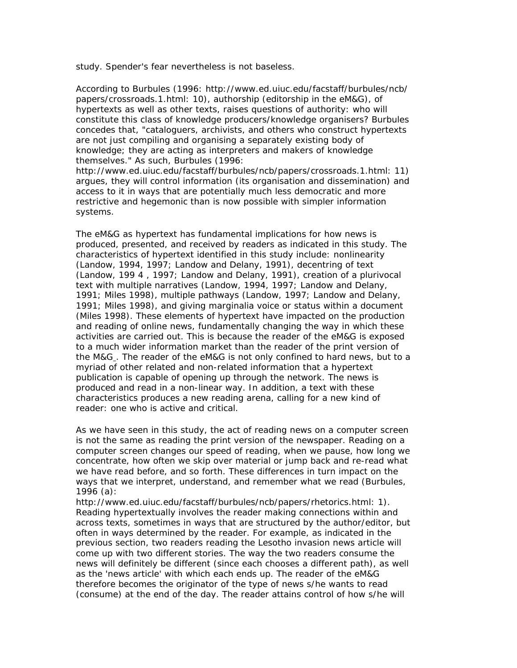study. Spender's fear nevertheless is not baseless.

According to Burbules (1996: http://www.ed.uiuc.edu/facstaff/burbules/ncb/ papers/crossroads.1.html: 10), authorship (editorship in the *eM&G*), of hypertexts as well as other texts, raises questions of authority: who will constitute this class of knowledge producers/knowledge organisers? Burbules concedes that, "cataloguers, archivists, and others who construct hypertexts are not just compiling and organising a separately existing body of knowledge; they are acting as interpreters and makers of knowledge themselves." As such, Burbules (1996:

http://www.ed.uiuc.edu/facstaff/burbules/ncb/papers/crossroads.1.html: 11) argues, they will control information (its organisation and dissemination) and access to it in ways that are potentially much less democratic and more restrictive and hegemonic than is now possible with simpler information systems.

The *eM&G* as hypertext has fundamental implications for how news is produced, presented, and received by readers as indicated in this study. The characteristics of hypertext identified in this study include: nonlinearity (Landow, 1994, 1997; Landow and Delany, 1991), decentring of text (Landow, 199 4 , 1997; Landow and Delany, 1991), creation of a plurivocal text with multiple narratives (Landow, 1994, 1997; Landow and Delany, 1991; Miles 1998), multiple pathways (Landow, 1997; Landow and Delany, 1991; Miles 1998), and giving marginalia voice or status within a document (Miles 1998). These elements of hypertext have impacted on the production and reading of online news, fundamentally changing the way in which these activities are carried out. This is because the reader of the *eM&G* is exposed to a much wider information market than the reader of the print version of the *M&G* . The reader of the eM&G is not only confined to hard news, but to a myriad of other related and non-related information that a hypertext publication is capable of opening up through the network. The news is produced and read in a non-linear way. In addition, a text with these characteristics produces a new reading arena, calling for a new kind of reader: one who is active and critical.

As we have seen in this study, the act of reading news on a computer screen is not the same as reading the print version of the newspaper. Reading on a computer screen changes our speed of reading, when we pause, how long we concentrate, how often we skip over material or jump back and re-read what we have read before, and so forth. These differences in turn impact on the ways that we interpret, understand, and remember what we read (Burbules, 1996 (a):

http://www.ed.uiuc.edu/facstaff/burbules/ncb/papers/rhetorics.html: 1). Reading hypertextually involves the reader making connections within and across texts, sometimes in ways that are structured by the author/editor, but often in ways determined by the reader. For example, as indicated in the previous section, two readers reading the Lesotho invasion news article will come up with two different stories. The way the two readers consume the news will definitely be different (since each chooses a different path), as well as the 'news article' with which each ends up. The reader of the *eM&G* therefore becomes the originator of the type of news s/he wants to read (consume) at the end of the day. The reader attains control of how s/he will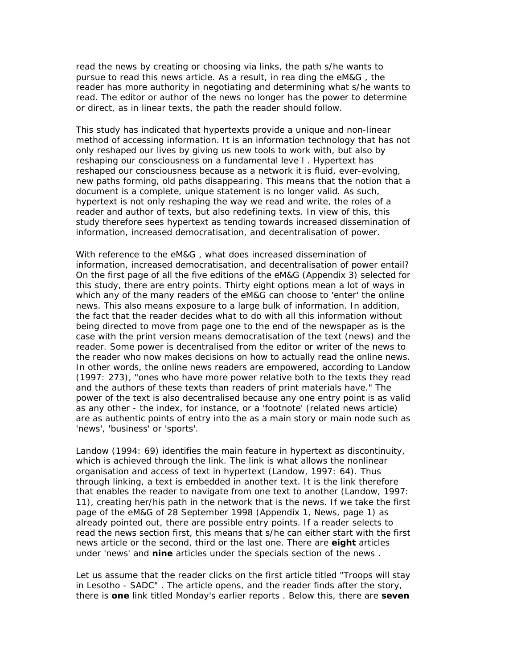read the news by creating or choosing via links, the path s/he wants to pursue to read this news article. As a result, in rea ding the *eM&G* , the reader has more authority in negotiating and determining what s/he wants to read. The editor or author of the news no longer has the power to determine or direct, as in linear texts, the path the reader should follow.

This study has indicated that hypertexts provide a unique and non-linear method of accessing information. It is an information technology that has not only reshaped our lives by giving us new tools to work with, but also by reshaping our consciousness on a fundamental leve l . Hypertext has reshaped our consciousness because as a network it is fluid, ever-evolving, new paths forming, old paths disappearing. This means that the notion that a document is a complete, unique statement is no longer valid. As such, hypertext is not only reshaping the way we read and write, the roles of a reader and author of texts, but also redefining texts. In view of this, this study therefore sees hypertext as tending towards increased dissemination of information, increased democratisation, and decentralisation of power.

With reference to the eM&G , what does increased dissemination of information, increased democratisation, and decentralisation of power entail? On the first page of all the five editions of the *eM&G* (Appendix 3) selected for this study, there are entry points. Thirty eight options mean a lot of ways in which any of the many readers of the *eM&G* can choose to 'enter' the online news. This also means exposure to a large bulk of information. In addition, the fact that the reader decides what to do with all this information without being directed to move from page one to the end of the newspaper as is the case with the print version means democratisation of the text (news) and the reader. Some power is decentralised from the editor or writer of the news to the reader who now makes decisions on how to actually read the online news. In other words, the online news readers are empowered, according to Landow (1997: 273), "ones who have more power relative both to the texts they read and the authors of these texts than readers of print materials have." The power of the text is also decentralised because any one entry point is as valid as any other - the index, for instance, or a 'footnote' (related news article) are as authentic points of entry into the as a main story or main node such as 'news', 'business' or 'sports'.

Landow (1994: 69) identifies the main feature in hypertext as discontinuity, which is achieved through the link. The link is what allows the nonlinear organisation and access of text in hypertext (Landow, 1997: 64). Thus through linking, a text is embedded in another text. It is the link therefore that enables the reader to navigate from one text to another (Landow, 1997: 11), creating her/his path in the network that is the news. If we take the first page of the *eM&G* of 28 September 1998 (Appendix 1, *News,* page 1) as already pointed out, there are possible entry points. If a reader selects to read the *news* section first, this means that s/he can either start with the first news article or the second, third or the last one. There are **eight** articles under 'news' and **nine** articles under the *specials* section of the *news* .

Let us assume that the reader clicks on the first article titled "*Troops will stay in Lesotho - SADC*" . The article opens, and the reader finds after the story, there is **one** link titled *Monday's earlier reports* . Below this, there are **seven**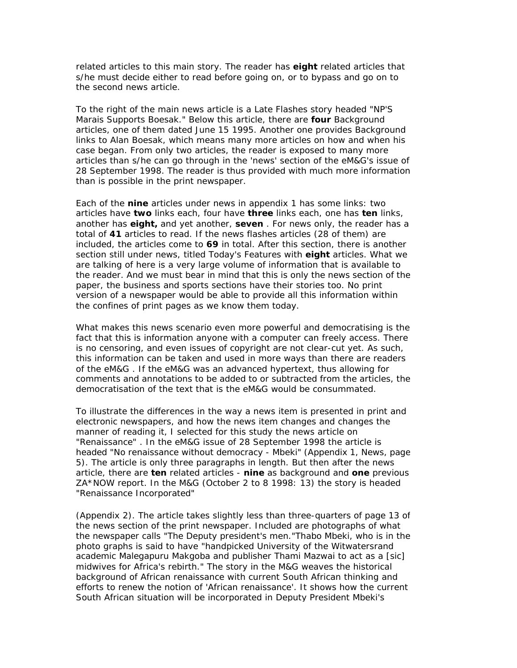related articles to this main story. The reader has **eight** related articles that s/he must decide either to read before going on, or to bypass and go on to the second news article.

To the right of the main news article is a Late Flashes story headed "*NP'S Marais Supports Boesak."* Below this article, there are **four** Background articles, one of them dated June 15 1995. Another one provides Background links to Alan Boesak, which means many more articles on how and when his case began. From only two articles, the reader is exposed to many more articles than s/he can go through in the 'news' section of the *eM&G's* issue of 28 September 1998. The reader is thus provided with much more information than is possible in the print newspaper.

Each of the **nine** articles under *news* in appendix 1 has some links: two articles have **two** links each, four have **three** links each, one has **ten** links, another has **eight,** and yet another, **seven** . For news only, the reader has a total of **41** articles to read. If the *news flashes* articles (28 of them) are included, the articles come to **69** in total. After this section, there is another section still under *news*, titled *Today's Features* with **eight** articles. What we are talking of here is a very large volume of information that is available to the reader. And we must bear in mind that this is only the *news* section of the paper, the *business* and *sports* sections have their stories too. No print version of a newspaper would be able to provide all this information within the confines of print pages as we know them today.

What makes this news scenario even more powerful and democratising is the fact that this is information anyone with a computer can freely access. There is no censoring, and even issues of copyright are not clear-cut yet. As such, this information can be taken and used in more ways than there are readers of the *eM&G* . If the eM&G was an advanced hypertext, thus allowing for comments and annotations to be added to or subtracted from the articles, the democratisation of the text that is the eM&G would be consummated.

To illustrate the differences in the way a news item is presented in print and electronic newspapers, and how the news item changes and changes the manner of reading it, I selected for this study the news article on "*Renaissance*" . In the *eM&G* issue of 28 September 1998 the article is headed "*No renaissance without democracy - Mbeki*" (Appendix 1, News, page 5). The article is only three paragraphs in length. But then after the news article, there are **ten** related articles - **nine** as background and **one** previous ZA\*NOW report. In the *M&G* (October 2 to 8 1998: 13) the story is headed "Renaissance Incorporated"

(Appendix 2). The article takes slightly less than three-quarters of page 13 of the *news* section of the print newspaper. Included are photographs of what the newspaper calls "The Deputy president's men."Thabo Mbeki, who is in the photo graphs is said to have "handpicked University of the Witwatersrand academic Malegapuru Makgoba and publisher Thami Mazwai to act as a [sic] midwives for Africa's rebirth." The story in the *M&G* weaves the historical background of African renaissance with current South African thinking and efforts to renew the notion of 'African renaissance'. It shows how the current South African situation will be incorporated in Deputy President Mbeki's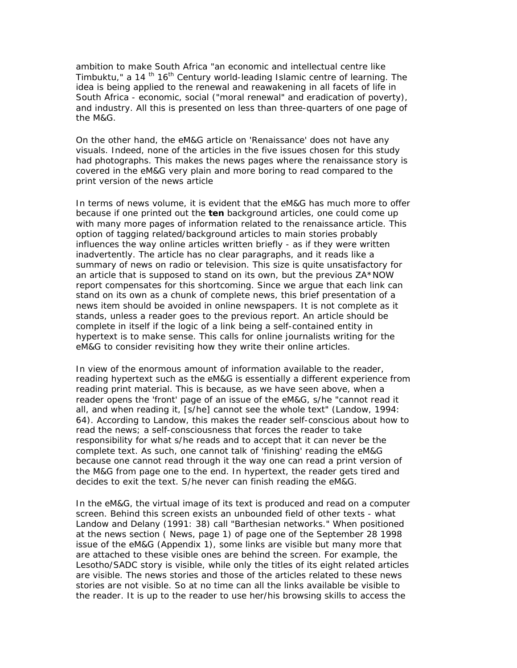ambition to make South Africa "an economic and intellectual centre like Timbuktu," a 14<sup>th</sup> 16<sup>th</sup> Century world-leading Islamic centre of learning. The idea is being applied to the renewal and reawakening in all facets of life in South Africa - economic, social ("moral renewal" and eradication of poverty), and industry. All this is presented on less than three-quarters of one page of the *M&G*.

On the other hand, the *eM&G* article on 'Renaissance' does not have any visuals. Indeed, none of the articles in the five issues chosen for this study had photographs. This makes the news pages where the renaissance story is covered in the *eM&G* very plain and more boring to read compared to the print version of the news article

In terms of news volume, it is evident that the *eM&G* has much more to offer because if one printed out the **ten** background articles, one could come up with many more pages of information related to the renaissance article. This option of tagging related/background articles to main stories probably influences the way online articles written briefly - as if they were written inadvertently. The article has no clear paragraphs, and it reads like a summary of news on radio or television. This size is quite unsatisfactory for an article that is supposed to stand on its own, but the previous ZA\*NOW report compensates for this shortcoming. Since we argue that each link can stand on its own as a chunk of complete news, this brief presentation of a news item should be avoided in online newspapers. It is not complete as it stands, unless a reader goes to the previous report. An article should be complete in itself if the logic of a link being a self-contained entity in hypertext is to make sense. This calls for online journalists writing for the *eM&G* to consider revisiting how they write their online articles.

In view of the enormous amount of information available to the reader, reading hypertext such as the *eM&G* is essentially a different experience from reading print material. This is because, as we have seen above, when a reader opens the 'front' page of an issue of the eM&G, s/he "cannot read it all, and when reading it, [s/he] cannot see the whole text" (Landow, 1994: 64). According to Landow, this makes the reader self-conscious about how to read the news; a self-consciousness that forces the reader to take responsibility for what s/he reads and to accept that it can never be the complete text. As such, one cannot talk of 'finishing' reading the *eM&G* because one cannot read through it the way one can read a print version of the *M&G* from page one to the end. In hypertext, the reader gets tired and decides to exit the text. S/he never can finish reading the *eM&G.*

In the *eM&G*, the virtual image of its text is produced and read on a computer screen. Behind this screen exists an unbounded field of other texts - what Landow and Delany (1991: 38) call "Barthesian networks." When positioned at the news section ( *News*, page 1) of page one of the September 28 1998 issue of the eM&G (Appendix 1), some links are visible but many more that are attached to these visible ones are behind the screen. For example, the Lesotho/SADC story is visible, while only the titles of its eight related articles are visible. The news stories and those of the articles related to these news stories are not visible. So at no time can all the links available be visible to the reader. It is up to the reader to use her/his browsing skills to access the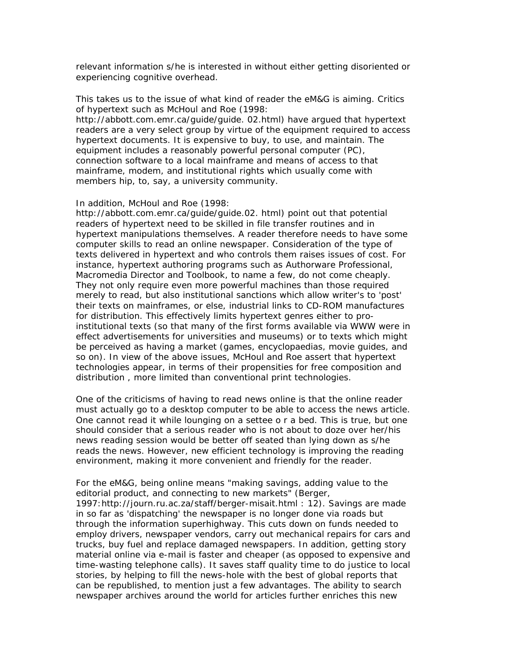relevant information s/he is interested in without either getting disoriented or experiencing cognitive overhead.

This takes us to the issue of what kind of reader the eM&G is aiming. Critics of hypertext such as McHoul and Roe (1998: http://abbott.com.emr.ca/guide/guide. 02.html) have argued that hypertext readers are a very select group by virtue of the equipment required to access hypertext documents. It is expensive to buy, to use, and maintain. The equipment includes a reasonably powerful personal computer (PC), connection software to a local mainframe and means of access to that mainframe, modem, and institutional rights which usually come with

#### In addition, McHoul and Roe (1998:

members hip, to, say, a university community.

http://abbott.com.emr.ca/guide/guide.02. html) point out that potential readers of hypertext need to be skilled in file transfer routines and in hypertext manipulations themselves. A reader therefore needs to have some computer skills to read an online newspaper. Consideration of the type of texts delivered in hypertext and who controls them raises issues of cost. For instance, hypertext authoring programs such as Authorware Professional, Macromedia Director and Toolbook, to name a few, do not come cheaply. They not only require even more powerful machines than those required merely to read, but also institutional sanctions which allow writer's to 'post' their texts on mainframes, or else, industrial links to CD-ROM manufactures for distribution. This effectively limits hypertext genres either to proinstitutional texts (so that many of the first forms available via WWW were in effect advertisements for universities and museums) or to texts which might be perceived as having a market (games, encyclopaedias, movie guides, and so on). In view of the above issues, McHoul and Roe assert that hypertext technologies appear, in terms of their propensities for free composition and distribution , more limited than conventional print technologies.

One of the criticisms of having to read news online is that the online reader must actually go to a desktop computer to be able to access the news article. One cannot read it while lounging on a settee o r a bed. This is true, but one should consider that a serious reader who is not about to doze over her/his news reading session would be better off seated than lying down as s/he reads the news. However, new efficient technology is improving the reading environment, making it more convenient and friendly for the reader.

For the eM&G, being online means "making savings, adding value to the editorial product, and connecting to new markets" (Berger, 1997:http://journ.ru.ac.za/staff/berger-misait.html : 12). Savings are made in so far as 'dispatching' the newspaper is no longer done via roads but through the information superhighway. This cuts down on funds needed to employ drivers, newspaper vendors, carry out mechanical repairs for cars and trucks, buy fuel and replace damaged newspapers. In addition, getting story material online via e-mail is faster and cheaper (as opposed to expensive and time-wasting telephone calls). It saves staff quality time to do justice to local stories, by helping to fill the news-hole with the best of global reports that can be republished, to mention just a few advantages. The ability to search newspaper archives around the world for articles further enriches this new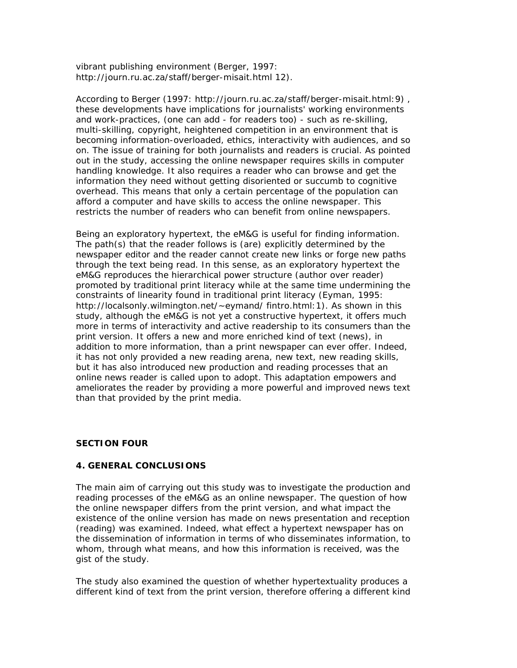vibrant publishing environment (Berger, 1997: http://journ.ru.ac.za/staff/berger-misait.html 12).

According to Berger (1997: http://journ.ru.ac.za/staff/berger-misait.html:9) , these developments have implications for journalists' working environments and work-practices, (one can add - for readers too) - such as re-skilling, multi-skilling, copyright, heightened competition in an environment that is becoming information-overloaded, ethics, interactivity with audiences, and so on. The issue of training for both journalists and readers is crucial. As pointed out in the study, accessing the online newspaper requires skills in computer handling knowledge. It also requires a reader who can browse and get the information they need without getting disoriented or succumb to cognitive overhead. This means that only a certain percentage of the population can afford a computer and have skills to access the online newspaper. This restricts the number of readers who can benefit from online newspapers.

Being an exploratory hypertext, the eM&G is useful for finding information. The path(s) that the reader follows is (are) explicitly determined by the newspaper editor and the reader cannot create new links or forge new paths through the text being read. In this sense, as an exploratory hypertext the eM&G reproduces the hierarchical power structure (author over reader) promoted by traditional print literacy while at the same time undermining the constraints of linearity found in traditional print literacy (Eyman, 1995: http://localsonly.wilmington.net/~eymand/ fintro.html:1). As shown in this study, although the eM&G is not yet a constructive hypertext, it offers much more in terms of interactivity and active readership to its consumers than the print version. It offers a new and more enriched kind of text (news), in addition to more information, than a print newspaper can ever offer. Indeed, it has not only provided a new reading arena, new text, new reading skills, but it has also introduced new production and reading processes that an online news reader is called upon to adopt. This adaptation empowers and ameliorates the reader by providing a more powerful and improved news text than that provided by the print media.

### *SECTION FOUR*

### **4. GENERAL CONCLUSIONS**

The main aim of carrying out this study was to investigate the production and reading processes of the eM&G as an online newspaper. The question of how the online newspaper differs from the print version, and what impact the existence of the online version has made on news presentation and reception (reading) was examined. Indeed, what effect a hypertext newspaper has on the dissemination of information in terms of who disseminates information, to whom, through what means, and how this information is received, was the gist of the study.

The study also examined the question of whether hypertextuality produces a different kind of text from the print version, therefore offering a different kind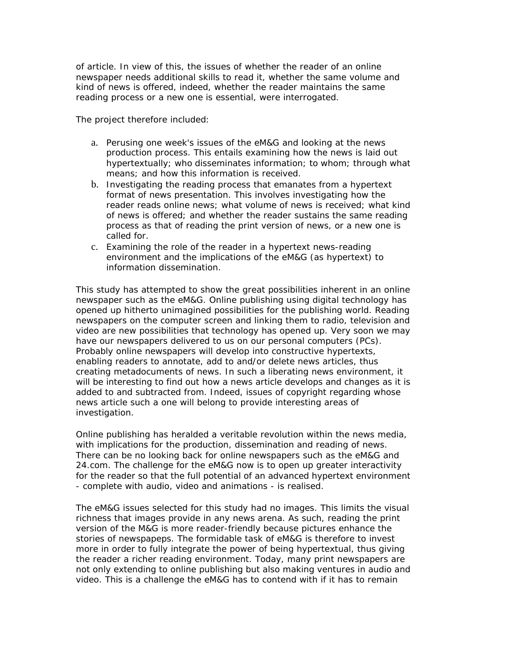of article. In view of this, the issues of whether the reader of an online newspaper needs additional skills to read it, whether the same volume and kind of news is offered, indeed, whether the reader maintains the same reading process or a new one is essential, were interrogated.

The project therefore included:

- a. Perusing one week's issues of the eM&G and looking at the news production process. This entails examining how the news is laid out hypertextually; who disseminates information; to whom; through what means; and how this information is received.
- b. Investigating the reading process that emanates from a hypertext format of news presentation. This involves investigating how the reader reads online news; what volume of news is received; what kind of news is offered; and whether the reader sustains the same reading process as that of reading the print version of news, or a new one is called for.
- c. Examining the role of the reader in a hypertext news-reading environment and the implications of the eM&G (as hypertext) to information dissemination.

This study has attempted to show the great possibilities inherent in an online newspaper such as the eM&G. Online publishing using digital technology has opened up hitherto unimagined possibilities for the publishing world. Reading newspapers on the computer screen and linking them to radio, television and video are new possibilities that technology has opened up. Very soon we may have our newspapers delivered to us on our personal computers (PCs). Probably online newspapers will develop into constructive hypertexts, enabling readers to annotate, add to and/or delete news articles, thus creating metadocuments of news. In such a liberating news environment, it will be interesting to find out how a news article develops and changes as it is added to and subtracted from. Indeed, issues of copyright regarding whose news article such a one will belong to provide interesting areas of investigation.

Online publishing has heralded a veritable revolution within the news media, with implications for the production, dissemination and reading of news. There can be no looking back for online newspapers such as the eM&G and 24.com. The challenge for the eM&G now is to open up greater interactivity for the reader so that the full potential of an advanced hypertext environment - complete with audio, video and animations - is realised.

The eM&G issues selected for this study had no images. This limits the visual richness that images provide in any news arena. As such, reading the print version of the M&G is more reader-friendly because pictures enhance the stories of newspapeps. The formidable task of eM&G is therefore to invest more in order to fully integrate the power of being hypertextual, thus giving the reader a richer reading environment. Today, many print newspapers are not only extending to online publishing but also making ventures in audio and video. This is a challenge the eM&G has to contend with if it has to remain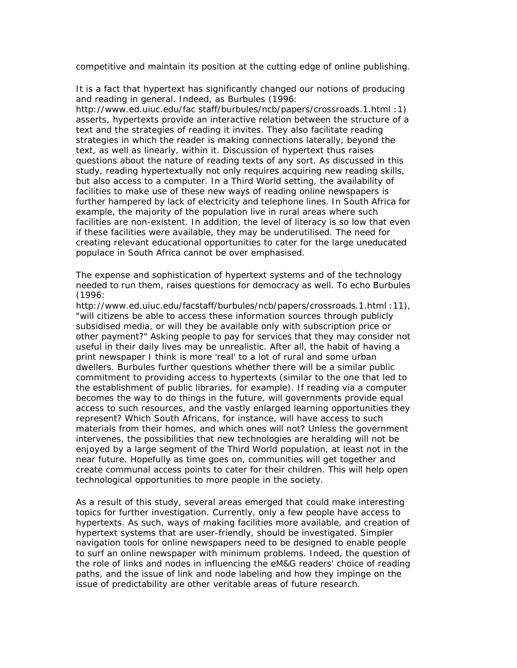competitive and maintain its position at the cutting edge of online publishing.

It is a fact that hypertext has significantly changed our notions of producing and reading in general. Indeed, as Burbules (1996:

http://www.ed.uiuc.edu/fac staff/burbules/ncb/papers/crossroads.1.html :1) asserts, hypertexts provide an interactive relation between the structure of a text and the strategies of reading it invites. They also facilitate reading strategies in which the reader is making connections laterally, beyond the text, as well as linearly, within it. Discussion of hypertext thus raises questions about the nature of reading texts of any sort. As discussed in this study, reading hypertextually not only requires acquiring new reading skills, but also access to a computer. In a Third World setting, the availability of facilities to make use of these new ways of reading online newspapers is further hampered by lack of electricity and telephone lines. In South Africa for example, the majority of the population live in rural areas where such facilities are non-existent. In addition, the level of literacy is so low that even if these facilities were available, they may be underutilised. The need for creating relevant educational opportunities to cater for the large uneducated populace in South Africa cannot be over emphasised.

The expense and sophistication of hypertext systems and of the technology needed to run them, raises questions for democracy as well. To echo Burbules (1996:

http://www.ed.uiuc.edu/facstaff/burbules/ncb/papers/crossroads.1.html:11), "will citizens be able to access these information sources through publicly subsidised media, or will they be available only with subscription price or other payment?" Asking people to pay for services that they may consider not useful in their daily lives may be unrealistic. After all, the habit of having a print newspaper I think is more 'real' to a lot of rural and some urban dwellers. Burbules further questions whether there will be a similar public commitment to providing access to hypertexts (similar to the one that led to the establishment of public libraries, for example). If reading via a computer becomes the way to do things in the future, will governments provide equal access to such resources, and the vastly enlarged learning opportunities they represent? Which South Africans, for instance, will have access to such materials from their homes, and which ones will not? Unless the government intervenes, the possibilities that new technologies are heralding will not be enjoyed by a large segment of the Third World population, at least not in the near future. Hopefully as time goes on, communities will get together and create communal access points to cater for their children. This will help open technological opportunities to more people in the society.

As a result of this study, several areas emerged that could make interesting topics for further investigation. Currently, only a few people have access to hypertexts. As such, ways of making facilities more available, and creation of hypertext systems that are user-friendly, should be investigated. Simpler navigation tools for online newspapers need to be designed to enable people to surf an online newspaper with minimum problems. Indeed, the question of the role of links and nodes in influencing the eM&G readers' choice of reading paths, and the issue of link and node labeling and how they impinge on the issue of predictability are other veritable areas of future research.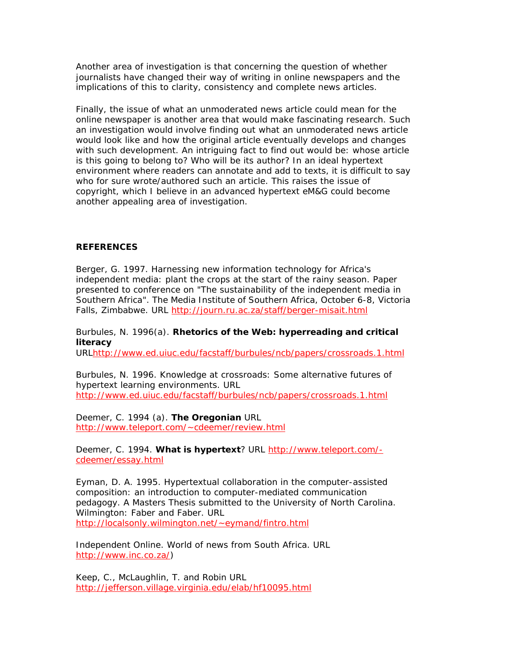Another area of investigation is that concerning the question of whether journalists have changed their way of writing in online newspapers and the implications of this to clarity, consistency and complete news articles.

Finally, the issue of what an unmoderated news article could mean for the online newspaper is another area that would make fascinating research. Such an investigation would involve finding out what an unmoderated news article would look like and how the original article eventually develops and changes with such development. An intriguing fact to find out would be: whose article is this going to belong to? Who will be its author? In an ideal hypertext environment where readers can annotate and add to texts, it is difficult to say who for sure wrote/authored such an article. This raises the issue of copyright, which I believe in an advanced hypertext eM&G could become another appealing area of investigation.

### **REFERENCES**

Berger, G. 1997. Harnessing new information technology for Africa's independent media: plant the crops at the start of the rainy season. Paper presented to conference on "The sustainability of the independent media in Southern Africa". The Media Institute of Southern Africa, October 6-8, Victoria Falls, Zimbabwe. URL http://journ.ru.ac.za/staff/berger-misait.html

# Burbules, N. 1996(a). **Rhetorics of the Web: hyperreading and critical literacy**

URLhttp://www.ed.uiuc.edu/facstaff/burbules/ncb/papers/crossroads.1.html

Burbules, N. 1996. Knowledge at crossroads: Some alternative futures of hypertext learning environments. URL http://www.ed.uiuc.edu/facstaff/burbules/ncb/papers/crossroads.1.html

Deemer, C. 1994 (a). **The Oregonian** URL http://www.teleport.com/~cdeemer/review.html

Deemer, C. 1994. **What is hypertext**? URL http://www.teleport.com/ cdeemer/essay.html

Eyman, D. A. 1995. Hypertextual collaboration in the computer-assisted composition: an introduction to computer-mediated communication pedagogy. A Masters Thesis submitted to the University of North Carolina. Wilmington: Faber and Faber. URL http://localsonly.wilmington.net/~eymand/fintro.html

Independent Online. World of news from South Africa. URL http://www.inc.co.za/)

Keep, C., McLaughlin, T. and Robin URL http://jefferson.village.virginia.edu/elab/hf10095.html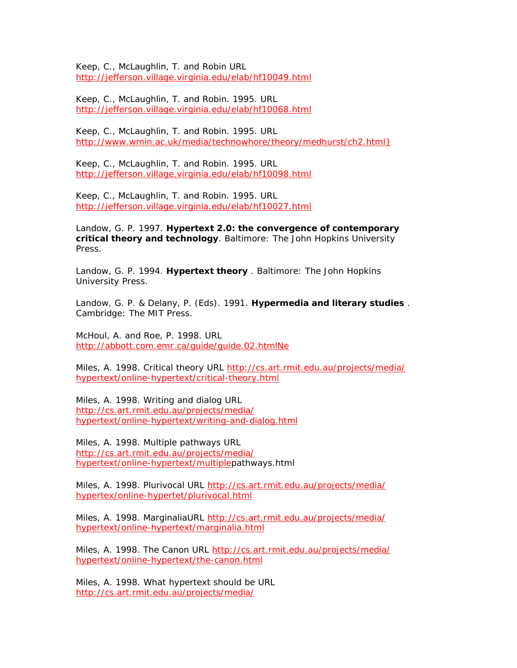Keep, C., McLaughlin, T. and Robin URL http://jefferson.village.virginia.edu/elab/hf10049.html

Keep, C., McLaughlin, T. and Robin. 1995. URL http://jefferson.village.virginia.edu/elab/hf10068.html

Keep, C., McLaughlin, T. and Robin. 1995. URL http://www.wmin.ac.uk/media/technowhore/theory/medhurst/ch2.html}

Keep, C., McLaughlin, T. and Robin. 1995. URL http://jefferson.village.virginia.edu/elab/hf10098.html

Keep, C., McLaughlin, T. and Robin. 1995. URL http://jefferson.village.virginia.edu/elab/hf10027.html

Landow, G. P. 1997. **Hypertext 2.0: the convergence of contemporary critical theory and technology**. Baltimore: The John Hopkins University Press.

Landow, G. P. 1994. **Hypertext theory** . Baltimore: The John Hopkins University Press.

Landow, G. P. & Delany, P. (Eds). 1991. **Hypermedia and literary studies** . Cambridge: The MIT Press.

McHoul, A. and Roe, P. 1998. URL http://abbott.com.emr.ca/guide/guide.02.htmlNe

Miles, A. 1998. Critical theory URL http://cs.art.rmit.edu.au/projects/media/ hypertext/online-hypertext/critical-theory.html

Miles, A. 1998. Writing and dialog URL http://cs.art.rmit.edu.au/projects/media/ hypertext/online-hypertext/writing-and-dialog.html

Miles, A. 1998. Multiple pathways URL http://cs.art.rmit.edu.au/projects/media/ hypertext/online-hypertext/multiplepathways.html

Miles, A. 1998. Plurivocal URL http://cs.art.rmit.edu.au/projects/media/ hypertex/online-hypertet/plurivocal.html

Miles, A. 1998. MarginaliaURL http://cs.art.rmit.edu.au/projects/media/ hypertext/online-hypertext/marginalia.html

Miles, A. 1998. The Canon URL http://cs.art.rmit.edu.au/projects/media/ hypertext/online-hypertext/the-canon.html

Miles, A. 1998. What hypertext should be URL http://cs.art.rmit.edu.au/projects/media/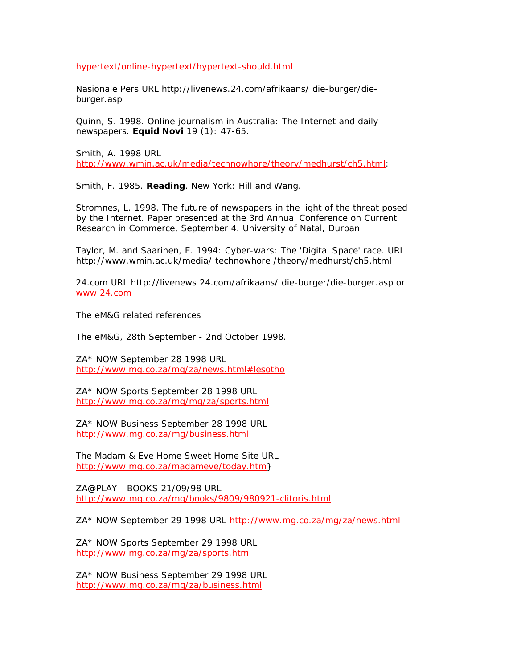hypertext/online-hypertext/hypertext-should.html

Nasionale Pers URL http://livenews.24.com/afrikaans/ die-burger/dieburger.asp

Quinn, S. 1998. Online journalism in Australia: The Internet and daily newspapers. **Equid Novi** 19 (1): 47-65.

Smith, A. 1998 URL http://www.wmin.ac.uk/media/technowhore/theory/medhurst/ch5.html:

Smith, F. 1985. **Reading**. New York: Hill and Wang.

Stromnes, L. 1998. The future of newspapers in the light of the threat posed by the Internet. Paper presented at the 3rd Annual Conference on Current Research in Commerce, September 4. University of Natal, Durban.

Taylor, M. and Saarinen, E. 1994: Cyber-wars: The 'Digital Space' race. URL http://www.wmin.ac.uk/media/ technowhore /theory/medhurst/ch5.html

24.com URL http://livenews 24.com/afrikaans/ die-burger/die-burger.asp or www.24.com

The eM&G related references

The eM&G, 28th September - 2nd October 1998.

ZA\* NOW September 28 1998 URL http://www.mg.co.za/mg/za/news.html#lesotho

ZA\* NOW Sports September 28 1998 URL http://www.mg.co.za/mg/mg/za/sports.html

ZA\* NOW Business September 28 1998 URL http://www.mg.co.za/mg/business.html

The Madam & Eve Home Sweet Home Site URL http://www.mg.co.za/madameve/today.htm}

ZA@PLAY - BOOKS 21/09/98 URL http://www.mg.co.za/mg/books/9809/980921-clitoris.html

ZA\* NOW September 29 1998 URL http://www.mg.co.za/mg/za/news.html

ZA\* NOW Sports September 29 1998 URL http://www.mg.co.za/mg/za/sports.html

ZA\* NOW Business September 29 1998 URL http://www.mg.co.za/mg/za/business.html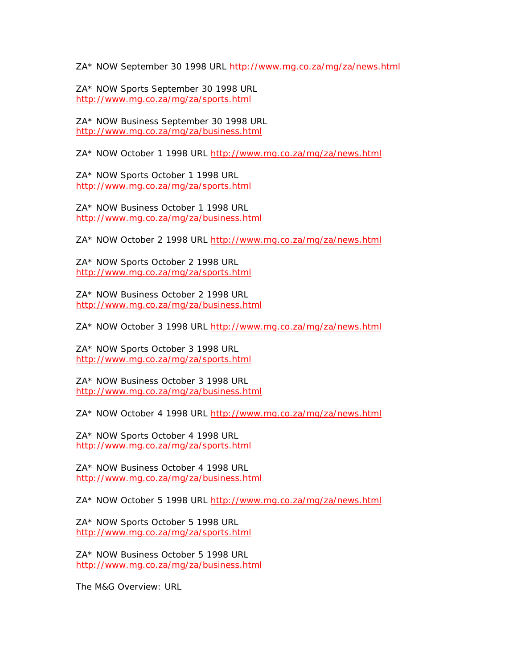ZA\* NOW September 30 1998 URL http://www.mg.co.za/mg/za/news.html

ZA\* NOW Sports September 30 1998 URL http://www.mg.co.za/mg/za/sports.html

ZA\* NOW Business September 30 1998 URL http://www.mg.co.za/mg/za/business.html

ZA\* NOW October 1 1998 URL http://www.mg.co.za/mg/za/news.html

ZA\* NOW Sports October 1 1998 URL http://www.mg.co.za/mg/za/sports.html

ZA\* NOW Business October 1 1998 URL http://www.mg.co.za/mg/za/business.html

ZA\* NOW October 2 1998 URL http://www.mg.co.za/mg/za/news.html

ZA\* NOW Sports October 2 1998 URL http://www.mg.co.za/mg/za/sports.html

ZA\* NOW Business October 2 1998 URL http://www.mg.co.za/mg/za/business.html

ZA\* NOW October 3 1998 URL http://www.mg.co.za/mg/za/news.html

ZA\* NOW Sports October 3 1998 URL http://www.mg.co.za/mg/za/sports.html

ZA\* NOW Business October 3 1998 URL http://www.mg.co.za/mg/za/business.html

ZA\* NOW October 4 1998 URL http://www.mg.co.za/mg/za/news.html

ZA\* NOW Sports October 4 1998 URL http://www.mg.co.za/mg/za/sports.html

ZA\* NOW Business October 4 1998 URL http://www.mg.co.za/mg/za/business.html

ZA\* NOW October 5 1998 URL http://www.mg.co.za/mg/za/news.html

ZA\* NOW Sports October 5 1998 URL http://www.mg.co.za/mg/za/sports.html

ZA\* NOW Business October 5 1998 URL http://www.mg.co.za/mg/za/business.html

The M&G Overview: URL